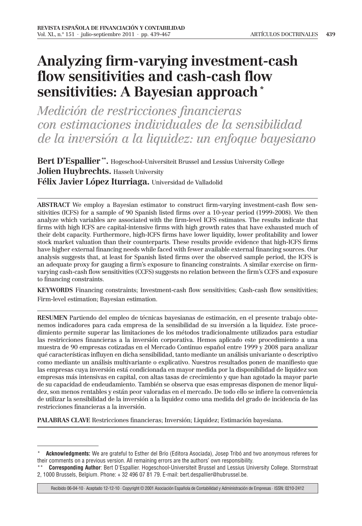## Analyzing firm-varying investment-cash flow sensitivities and cash-cash flow **sensitivities: A Bayesian approach \***

*Medición de restricciones financieras con estimaciones individuales de la sensibilidad de la inversión a la liquidez: un enfoque bayesiano*

**Bert D'Espallier**<sup>\*\*</sup>. Hogeschool-Universiteit Brussel and Lessius University College **Jolien Huybrechts.** Hasselt University **Félix Javier López Iturriaga.** Universidad de Valladolid

**ABSTRACT** We employ a Bayesian estimator to construct firm-varying investment-cash flow sensitivities (ICFS) for a sample of 90 Spanish listed firms over a 10-year period (1999-2008). We then analyze which variables are associated with the firm-level ICFS estimates. The results indicate that firms with high ICFS are capital-intensive firms with high growth rates that have exhausted much of their debt capacity. Furthermore, high-ICFS firms have lower liquidity, lower profitability and lower stock market valuation than their counterparts. These results provide evidence that high-ICFS firms have higher external financing needs while faced with fewer available external financing sources. Our analysis suggests that, at least for Spanish listed firms over the observed sample period, the ICFS is an adequate proxy for gauging a firm's exposure to financing constraints. A similar exercise on firmvarying cash-cash flow sensitivities (CCFS) suggests no relation between the firm's CCFS and exposure to financing constraints.

KEYWORDS Financing constraints; Investment-cash flow sensitivities; Cash-cash flow sensitivities; Firm-level estimation; Bayesian estimation.

**RESUMEN** Partiendo del empleo de técnicas bayesianas de estimación, en el presente trabajo obtenemos indicadores para cada empresa de la sensibilidad de su inversión a la liquidez. Este procedimiento permite superar las limitaciones de los métodos tradicionalmente utilizados para estudiar las restricciones financieras a la inversión corporativa. Hemos aplicado este procedimiento a una muestra de 90 empresas cotizadas en el Mercado Continuo español entre 1999 y 2008 para analizar qué características influyen en dicha sensibilidad, tanto mediante un análisis univariante o descriptivo como mediante un análisis multivariante o explicativo. Nuestros resultados ponen de manifiesto que las empresas cuya inversión está condicionada en mayor medida por la disponibilidad de liquidez son empresas más intensivas en capital, con altas tasas de crecimiento y que han agotado la mayor parte de su capacidad de endeudamiento. También se observa que esas empresas disponen de menor liquidez, son menos rentables y están peor valoradas en el mercado. De todo ello se infiere la conveniencia de utilizar la sensibilidad de la inversión a la liquidez como una medida del grado de incidencia de las restricciones financieras a la inversión.

**PALABRAS CLAVE** Restricciones financieras; Inversión; Liquidez; Estimación bayesiana.

Recibido 06-04-10 · Aceptado 12-12-10 · Copyright © 2001 Asociación Española de Contabilidad y Administración de Empresas · ISSN: 0210-2412

Acknowledgments: We are grateful to Esther del Brío (Editora Asociada), Josep Tribó and two anonymous referees for their comments on a previous version. All remaining errors are the authors' own responsibility.

<sup>\*\*</sup> **Corresponding Author**: Bert D'Espallier. Hogeschool-Universiteit Brussel and Lessius University College. Stormstraat 2, 1000 Brussels, Belgium. Phone: + 32 496 07 81 79. E-mail: bert.despallier@hubrussel.be.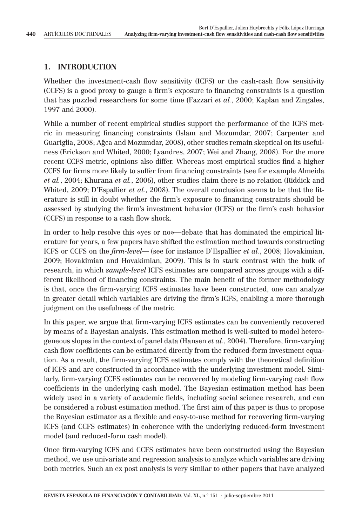## **1. INTRODUCTION**

Whether the investment-cash flow sensitivity (ICFS) or the cash-cash flow sensitivity (CCFS) is a good proxy to gauge a firm's exposure to financing constraints is a question that has puzzled researchers for some time (Fazzari *et al.*, 2000; Kaplan and Zingales, 1997 and 2000).

While a number of recent empirical studies support the performance of the ICFS metric in measuring financing constraints (Islam and Mozumdar, 2007; Carpenter and Guariglia, 2008; A˘gca and Mozumdar, 2008), other studies remain skeptical on its usefulness (Ericksonand Whited, 2000; Lyandres, 2007; Wei and Zhang, 2008). For the more recent CCFS metric, opinions also differ. Whereas most empirical studies find a higher CCFS for firms more likely to suffer from financing constraints (see for example Almeida *et al.*, 2004; Khurana *et al.*, 2006), other studies claim there is no relation (Riddick and Whited, 2009; D'Espallier *et al.*, 2008). The overall conclusion seems to be that the literature is still in doubt whether the firm's exposure to financing constraints should be assessed by studying the firm's investment behavior (ICFS) or the firm's cash behavior (CCFS) in response to a cash flow shock.

In order to help resolve this «yes or no»—debate that has dominated the empirical literature for years, a few papers have shifted the estimation method towards constructing ICFS or CCFS on the *firm-level—* (see for instance D'Espallier *et al.*, 2008; Hovakimian, 2009; Hovakimian and Hovakimian, 2009). This is in stark contrast with the bulk of research, in which *sample-level* ICFS estimates are compared across groups with a different likelihood of financing constraints. The main benefit of the former methodology is that, once the firm-varying ICFS estimates have been constructed, one can analyze in greater detail which variables are driving the firm's ICFS, enabling a more thorough judgment on the usefulness of the metric.

In this paper, we argue that firm-varying ICFS estimates can be conveniently recovered by means of a Bayesian analysis. This estimation method is well-suited to model heterogeneous slopes in the context of panel data (Hansen *et al.*, 2004). Therefore, firm-varying cash flow coefficients can be estimated directly from the reduced-form investment equation. As a result, the firm-varying ICFS estimates comply with the theoretical definition of ICFS and are constructed in accordance with the underlying investment model. Similarly, firm-varying CCFS estimates can be recovered by modeling firm-varying cash flow coefficients in the underlying cash model. The Bayesian estimation method has been widely used in a variety of academic fields, including social science research, and can be considered a robust estimation method. The first aim of this paper is thus to propose the Bayesian estimator as a flexible and easy-to-use method for recovering firm-varying ICFS (and CCFS estimates) in coherence with the underlying reduced-form investment model (and reduced-form cash model).

Once firm-varying ICFS and CCFS estimates have been constructed using the Bayesian method, we use univariate and regression analysis to analyze which variables are driving both metrics. Such an ex post analysis is very similar to other papers that have analyzed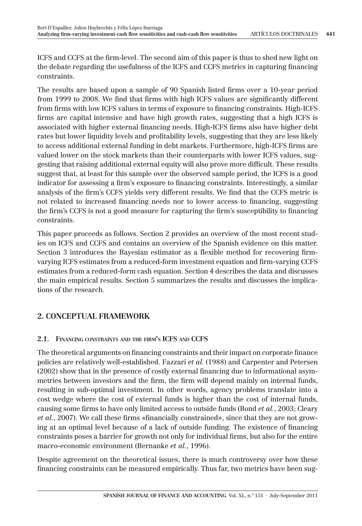ICFS and CCFS at the firm-level. The second aim of this paper is thus to shed new light on the debate regarding the usefulness of the ICFS and CCFS metrics in capturing financing constraints.

The results are based upon a sample of 90 Spanish listed firms over a 10-year period from 1999 to 2008. We find that firms with high ICFS values are significantly different from firms with low ICFS values in terms of exposure to financing constraints. High-ICFS firms are capital intensive and have high growth rates, suggesting that a high ICFS is associated with higher external financing needs. High-ICFS firms also have higher debt rates but lower liquidity levels and profitability levels, suggesting that they are less likely to access additional external funding in debt markets. Furthermore, high-ICFS firms are valued lower on the stock markets than their counterparts with lower ICFS values, suggesting that raising additional external equity will also prove more difficult. These results suggest that, at least for this sample over the observed sample period, the ICFS is a good indicator for assessing a firm's exposure to financing constraints. Interestingly, a similar analysis of the firm's CCFS yields very different results. We find that the CCFS metric is not related to increased financing needs nor to lower access to financing, suggesting the firm's CCFS is not a good measure for capturing the firm's susceptibility to financing constraints.

This paper proceeds as follows. Section 2 provides an overview of the most recent studies on ICFS and CCFS and contains an overview of the Spanish evidence on this matter. Section 3 introduces the Bayesian estimator as a flexible method for recovering firmvarying ICFS estimates from a reduced-form investment equation and firm-varying CCFS estimates from a reduced-form cash equation. Section 4 describes the data and discusses the main empirical results. Section 5 summarizes the results and discusses the implications of the research.

## **2. CONCEPTUAL FRAMEWORK**

## **2.1. FINANCING CONSTRAINTS AND THE FIRM'S ICFS AND CCFS**

The theoretical arguments on financing constraints and their impact on corporate finance policies are relatively well-established. Fazzari *et al.* (1988) and Carpenter and Petersen (2002) show that in the presence of costly external financing due to informational asymmetries between investors and the firm, the firm will depend mainly on internal funds, resulting in sub-optimal investment. In other words, agency problems translate into a cost wedge where the cost of external funds is higher than the cost of internal funds, causing some firms to have only limited access to outside funds (Bond *et al.*, 2003; Cleary *et al.*, 2007). We call these firms «financially constrained», since that they are not growing at an optimal level because of a lack of outside funding. The existence of financing constraints poses a barrier for growth not only for individual firms, but also for the entire macro-economic environment (Bernanke *et al.*, 1996).

Despite agreement on the theoretical issues, there is much controversy over how these financing constraints can be measured empirically. Thus far, two metrics have been sug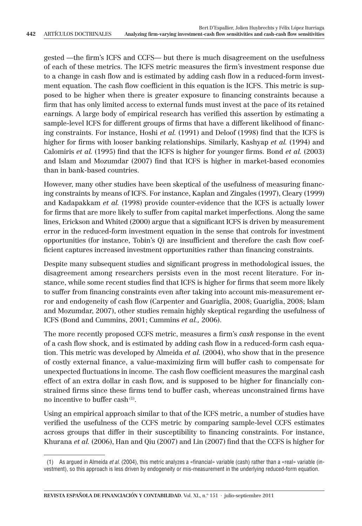gested —the firm's ICFS and CCFS— but there is much disagreement on the usefulness of each of these metrics. The ICFS metric measures the firm's investment response due to a change in cash flow and is estimated by adding cash flow in a reduced-form investment equation. The cash flow coefficient in this equation is the ICFS. This metric is supposed to be higher when there is greater exposure to financing constraints because a firm that has only limited access to external funds must invest at the pace of its retained earnings. A large body of empirical research has verified this assertion by estimating a sample-level ICFS for different groups of firms that have a different likelihood of financing constraints. For instance, Hoshi *et al.* (1991) and Deloof (1998) find that the ICFS is higher for firms with looser banking relationships. Similarly, Kashyap *et al.* (1994) and Calomiris *et al.* (1995) find that the ICFS is higher for younger firms. Bond *et al.* (2003) and Islam and Mozumdar (2007) find that ICFS is higher in market-based economies than in bank-based countries.

However, many other studies have been skeptical of the usefulness of measuring financing constraints by means of ICFS. For instance, Kaplan and Zingales (1997), Cleary (1999) and Kadapakkam *et al.* (1998) provide counter-evidence that the ICFS is actually lower for firms that are more likely to suffer from capital market imperfections. Along the same lines, Erickson and Whited (2000) argue that a significant ICFS is driven by measurement error in the reduced-form investment equation in the sense that controls for investment opportunities (for instance, Tobin's  $O$ ) are insufficient and therefore the cash flow coefficient captures increased investment opportunities rather than financing constraints.

Despite many subsequent studies and significant progress in methodological issues, the disagreement among researchers persists even in the most recent literature. For instance, while some recent studies find that ICFS is higher for firms that seem more likely to suffer from financing constraints even after taking into account mis-measurement error and endogeneity of cash flow (Carpenter and Guariglia, 2008; Guariglia, 2008; Islam and Mozumdar, 2007), other studies remain highly skeptical regarding the usefulness of ICFS (Bond and Cummins, 2001; Cummins *et al.,* 2006).

The more recently proposed CCFS metric, measures a firm's *cash* response in the event of a cash flow shock, and is estimated by adding cash flow in a reduced-form cash equation. This metric was developed by Almeida *et al.* (2004), who show that in the presence of costly external finance, a value-maximizing firm will buffer cash to compensate for unexpected fluctuations in income. The cash flow coefficient measures the marginal cash effect of an extra dollar in cash flow, and is supposed to be higher for financially constrained firms since these firms tend to buffer cash, whereas unconstrained firms have no incentive to buffer cash (1).

Using an empirical approach similar to that of the ICFS metric, a number of studies have verified the usefulness of the CCFS metric by comparing sample-level CCFS estimates across groups that differ in their susceptibility to financing constraints. For instance, Khurana *et al.* (2006), Han and Qiu (2007) and Lin (2007) find that the CCFS is higher for

<sup>(1)</sup> As argued in Almeida et al. (2004), this metric analyzes a «financial» variable (cash) rather than a «real» variable (investment), so this approach is less driven by endogeneity or mis-measurement in the underlying reduced-form equation.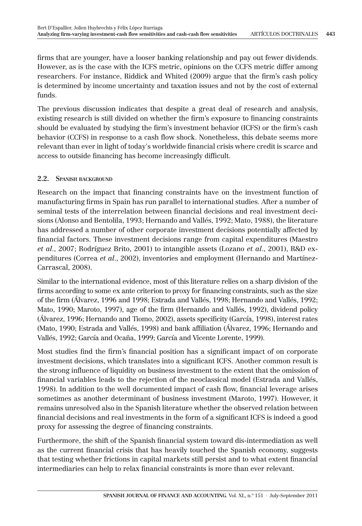firms that are younger, have a looser banking relationship and pay out fewer dividends. However, as is the case with the ICFS metric, opinions on the CCFS metric differ among researchers. For instance, Riddick and Whited (2009) argue that the firm's cash policy is determined by income uncertainty and taxation issues and not by the cost of external funds.

The previous discussion indicates that despite a great deal of research and analysis, existing research is still divided on whether the firm's exposure to financing constraints should be evaluated by studying the firm's investment behavior (ICFS) or the firm's cash behavior (CCFS) in response to a cash flow shock. Nonetheless, this debate seems more relevant than ever in light of today's worldwide financial crisis where credit is scarce and access to outside financing has become increasingly difficult.

## **2.2. SPANISH BACKGROUND**

Research on the impact that financing constraints have on the investment function of manufacturing firms in Spain has run parallel to international studies. After a number of seminal tests of the interrelation between financial decisions and real investment decisions (Alonso and Bentolila, 1993; Hernando and Vallés, 1992; Mato, 1988), the literature has addressed a number of other corporate investment decisions potentially affected by financial factors. These investment decisions range from capital expenditures (Maestro *et al*., 2007; Rodríguez Brito, 2001) to intangible assets (Lozano *et al*., 2001), R&D expenditures (Correa *et al*., 2002), inventories and employment (Hernando and Martínez-Carrascal, 2008).

Similar to the international evidence, most of this literature relies on a sharp division of the firms according to some ex ante criterion to proxy for financing constraints, such as the size of the firm (Álvarez, 1996 and 1998; Estrada and Vallés, 1998; Hernando and Vallés, 1992; Mato, 1990; Maroto, 1997), age of the firm (Hernando and Vallés, 1992), dividend policy (Álvarez, 1996; Hernando and Tiomo, 2002), assets specificity (García, 1998), interest rates (Mato, 1990; Estrada and Vallés, 1998) and bank affiliation (Álvarez, 1996; Hernando and Vallés, 1992; García and Ocaña, 1999; García and Vicente Lorente, 1999).

Most studies find the firm's financial position has a significant impact of on corporate investment decisions, which translates into a significant ICFS. Another common result is the strong influence of liquidity on business investment to the extent that the omission of financial variables leads to the rejection of the neoclassical model (Estrada and Vallés, 1998). In addition to the well documented impact of cash flow, financial leverage arises sometimes as another determinant of business investment (Maroto, 1997). However, it remains unresolved also in the Spanish literature whether the observed relation between financial decisions and real investments in the form of a significant ICFS is indeed a good proxy for assessing the degree of financing constraints.

Furthermore, the shift of the Spanish financial system toward dis-intermediation as well as the current financial crisis that has heavily touched the Spanish economy, suggests that testing whether frictions in capital markets still persist and to what extent financial intermediaries can help to relax financial constraints is more than ever relevant.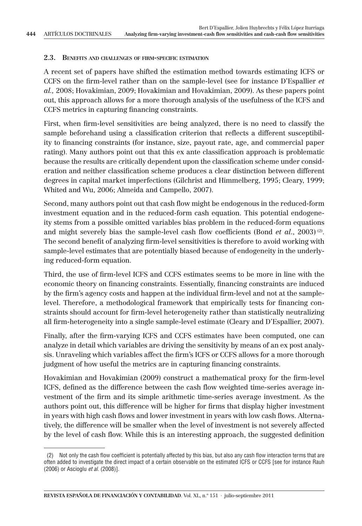## **2.3. BENEFITS AND CHALLENGES OF FIRM-SPECIFIC ESTIMATION**

A recent set of papers have shifted the estimation method towards estimating ICFS or CCFS on the firm-level rather than on the sample-level (see for instance D'Espallier *et al.,* 2008; Hovakimian, 2009; Hovakimian and Hovakimian, 2009). As these papers point out, this approach allows for a more thorough analysis of the usefulness of the ICFS and CCFS metrics in capturing financing constraints.

First, when firm-level sensitivities are being analyzed, there is no need to classify the sample beforehand using a classification criterion that reflects a different susceptibility to financing constraints (for instance, size, payout rate, age, and commercial paper rating). Many authors point out that this ex ante classification approach is problematic because the results are critically dependent upon the classification scheme under consideration and neither classification scheme produces a clear distinction between different degrees in capital market imperfections (Gilchrist and Himmelberg, 1995; Cleary, 1999; Whited and Wu, 2006; Almeida and Campello, 2007).

Second, many authors point out that cash flow might be endogenous in the reduced-form investment equation and in the reduced-form cash equation. This potential endogeneity stems from a possible omitted variables bias problem in the reduced-form equations and might severely bias the sample-level cash flow coefficients (Bond *et al.*, 2003)<sup>(2)</sup>. The second benefit of analyzing firm-level sensitivities is therefore to avoid working with sample-level estimates that are potentially biased because of endogeneity in the underlying reduced-form equation.

Third, the use of firm-level ICFS and CCFS estimates seems to be more in line with the economic theory on financing constraints. Essentially, financing constraints are induced by the firm's agency costs and happen at the individual firm-level and not at the samplelevel. Therefore, a methodological framework that empirically tests for financing constraints should account for firm-level heterogeneity rather than statistically neutralizing all firm-heterogeneity into a single sample-level estimate (Cleary and D'Espallier, 2007).

Finally, after the firm-varying ICFS and CCFS estimates have been computed, one can analyze in detail which variables are driving the sensitivity by means of an ex post analysis. Unraveling which variables affect the firm's ICFS or CCFS allows for a more thorough judgment of how useful the metrics are in capturing financing constraints.

Hovakimian and Hovakimian (2009) construct a mathematical proxy for the firm-level ICFS, defined as the difference between the cash flow weighted time-series average investment of the firm and its simple arithmetic time-series average investment. As the authors point out, this difference will be higher for firms that display higher investment in years with high cash flows and lower investment in years with low cash flows. Alternatively, the difference will be smaller when the level of investment is not severely affected by the level of cash flow. While this is an interesting approach, the suggested definition

<sup>(2)</sup> Not only the cash flow coefficient is potentially affected by this bias, but also any cash flow interaction terms that are often added to investigate the direct impact of a certain observable on the estimated ICFS or CCFS [see for instance Rauh (2006) or Ascioglu et al. (2008)].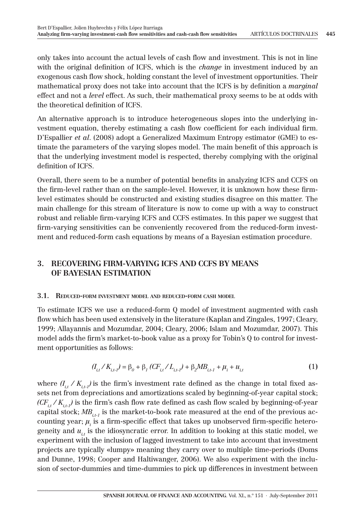only takes into account the actual levels of cash flow and investment. This is not in line with the original definition of ICFS, which is the *change* in investment induced by an exogenous cash flow shock, holding constant the level of investment opportunities. Their mathematical proxy does not take into account that the ICFS is by definition a *marginal* effect and not a *level* effect. As such, their mathematical proxy seems to be at odds with the theoretical definition of ICFS.

An alternative approach is to introduce heterogeneous slopes into the underlying investment equation, thereby estimating a cash flow coefficient for each individual firm. D'Espallier *et al*. (2008) adopt a Generalized Maximum Entropy estimator (GME) to estimate the parameters of the varying slopes model. The main benefit of this approach is that the underlying investment model is respected, thereby complying with the original definition of ICFS.

Overall, there seem to be a number of potential benefits in analyzing ICFS and CCFS on the firm-level rather than on the sample-level. However, it is unknown how these firmlevel estimates should be constructed and existing studies disagree on this matter. The main challenge for this stream of literature is now to come up with a way to construct robust and reliable firm-varying ICFS and CCFS estimates. In this paper we suggest that firm-varying sensitivities can be conveniently recovered from the reduced-form investment and reduced-form cash equations by means of a Bayesian estimation procedure.

## **3. RECOVERING FIRM-VARYING ICFS AND CCFS BY MEANS OF BAYESIAN ESTIMATION**

## **3.1. REDUCED-FORM INVESTMENT MODEL AND REDUCED-FORM CASH MODEL**

To estimate ICFS we use a reduced-form Q model of investment augmented with cash flow which has been used extensively in the literature (Kaplan and Zingales, 1997; Cleary, 1999; Allayannis and Mozumdar, 2004; Cleary, 2006; Islam and Mozumdar, 2007). This model adds the firm's market-to-book value as a proxy for Tobin's Q to control for investment opportunities as follows:

$$
(I_{i,t} / K_{i,t}) = \beta_0 + \beta_1 (CF_{i,t} / L_{i,t}) + \beta_2 MB_{i,t-1} + \mu_i + u_{i,t}
$$
 (1)

where  $(I_{i}, / K_{i,j})$  is the firm's investment rate defined as the change in total fixed assets net from depreciations and amortizations scaled by beginning-of-year capital stock;  $(CF_{i,t}/K_{i,t})$  is the firm's cash flow rate defined as cash flow scaled by beginning-of-year capital stock;  $MB_{i,t}$  is the market-to-book rate measured at the end of the previous accounting year;  $\mu_i$  is a firm-specific effect that takes up unobserved firm-specific heterogeneity and  $u_i$ , is the idiosyncratic error. In addition to looking at this static model, we experiment with the inclusion of lagged investment to take into account that investment projects are typically «lumpy» meaning they carry over to multiple time-periods (Doms and Dunne, 1998; Cooper and Haltiwanger, 2006). We also experiment with the inclusion of sector-dummies and time-dummies to pick up differences in investment between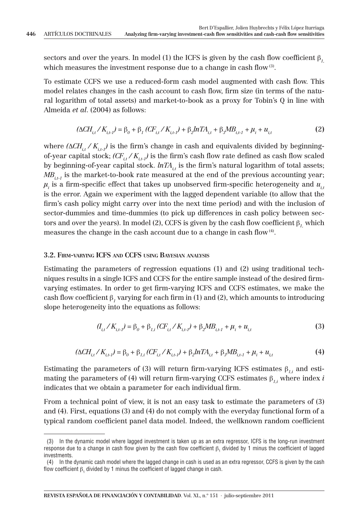sectors and over the years. In model (1) the ICFS is given by the cash flow coefficient  $\beta$ , which measures the investment response due to a change in cash flow  $(3)$ .

To estimate CCFS we use a reduced-form cash model augmented with cash flow. This model relates changes in the cash account to cash flow, firm size (in terms of the natural logarithm of total assets) and market-to-book as a proxy for Tobin's Q in line with Almeida *et al*. (2004) as follows:

$$
(\Delta CH_{i,t}/K_{i,t}) = \beta_0 + \beta_1 (CF_{i,t}/K_{i,t}) + \beta_2 lnTA_{i,t} + \beta_3 MB_{i,t} + \mu_i + u_{i,t}
$$
 (2)

where  $(\Delta CH_{i,t} / K_{i,t})$  is the firm's change in cash and equivalents divided by beginningof-year capital stock;  $(CF_i, /K_{i,t})$  is the firm's cash flow rate defined as cash flow scaled by beginning-of-year capital stock.  $lnTA_{i}$  is the firm's natural logarithm of total assets;  $MB_{i,t}$  is the market-to-book rate measured at the end of the previous accounting year;  $\mu_{_{l}}$  is a firm-specific effect that takes up unobserved firm-specific heterogeneity and  $u_{_{l,t}}$ is the error. Again we experiment with the lagged dependent variable (to allow that the firm's cash policy might carry over into the next time period) and with the inclusion of sector-dummies and time-dummies (to pick up differences in cash policy between sectors and over the years). In model (2), CCFS is given by the cash flow coefficient  $\beta$ , which measures the change in the cash account due to a change in cash flow<sup>(4)</sup>.

## **3.2. FIRM-VARYING ICFS AND CCFS USING BAYESIAN ANALYSIS**

Estimating the parameters of regression equations (1) and (2) using traditional techniques results in a single ICFS and CCFS for the entire sample instead of the desired firmvarying estimates. In order to get firm-varying ICFS and CCFS estimates, we make the cash flow coefficient  $\beta$ , varying for each firm in (1) and (2), which amounts to introducing slope heterogeneity into the equations as follows:

$$
(I_{i,t}/K_{i,t}) = \beta_0 + \beta_{1,i} (CF_{i,t}/K_{i,t}) + \beta_2 MB_{i,t-1} + \mu_i + u_{i,t}
$$
\n(3)

$$
(\Delta CH_{i,t}/K_{i,t-1}) = \beta_0 + \beta_{1,t} \left( CF_{i,t}/K_{i,t-1} \right) + \beta_2 ln T A_{i,t} + \beta_3 M B_{i,t-1} + \mu_i + u_{i,t}
$$
(4)

Estimating the parameters of (3) will return firm-varying ICFS estimates  $\beta_i$ , and estimating the parameters of (4) will return firm-varying CCFS estimates  $\beta_{1i}$ , where index *i* indicates that we obtain a parameter for each individual firm.

From a technical point of view, it is not an easy task to estimate the parameters of (3) and (4). First, equations (3) and (4) do not comply with the everyday functional form of a typical random coefficient panel data model. Indeed, the wellknown random coefficient

 <sup>(3)</sup> In the dynamic model where lagged investment is taken up as an extra regressor, ICFS is the long-run investment response due to a change in cash flow given by the cash flow coefficient  $\beta_1$  divided by 1 minus the coefficient of lagged investments.

 <sup>(4)</sup> In the dynamic cash model where the lagged change in cash is used as an extra regressor, CCFS is given by the cash flow coefficient  $\boldsymbol{\beta}_1$  divided by 1 minus the coefficient of lagged change in cash.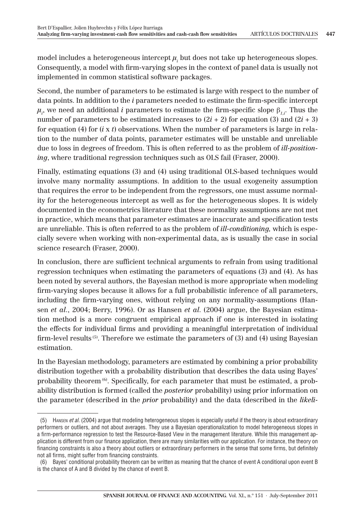model includes a heterogeneous intercept *μ*, but does not take up heterogeneous slopes. Consequently, a model with firm-varying slopes in the context of panel data is usually not implemented in common statistical software packages.

Second, the number of parameters to be estimated is large with respect to the number of data points. In addition to the *i* parameters needed to estimate the firm-specific intercept  $\mu_i$ , we need an additional *i* parameters to estimate the firm-specific slope  $\beta_{1,i}$ . Thus the number of parameters to be estimated increases to  $(2i + 2)$  for equation (3) and  $(2i + 3)$ for equation (4) for  $(i \times t)$  observations. When the number of parameters is large in relation to the number of data points, parameter estimates will be unstable and unreliable due to loss in degrees of freedom. This is often referred to as the problem of *ill-positioning*, where traditional regression techniques such as OLS fail (Fraser, 2000).

Finally, estimating equations (3) and (4) using traditional OLS-based techniques would involve many normality assumptions. In addition to the usual exogeneity assumption that requires the error to be independent from the regressors, one must assume normality for the heterogeneous intercept as well as for the heterogeneous slopes. It is widely documented in the econometrics literature that these normality assumptions are not met in practice, which means that parameter estimates are inaccurate and specification tests are unreliable. This is often referred to as the problem of *ill-conditioning,* which is especially severe when working with non-experimental data, as is usually the case in social science research (Fraser, 2000).

In conclusion, there are sufficient technical arguments to refrain from using traditional regression techniques when estimating the parameters of equations (3) and (4). As has been noted by several authors, the Bayesian method is more appropriate when modeling firm-varying slopes because it allows for a full probabilistic inference of all parameters, including the firm-varying ones, without relying on any normality-assumptions (Hansen *et al*., 2004; Berry, 1996). Or as Hansen *et al*. (2004) argue, the Bayesian estimation method is a more congruent empirical approach if one is interested in isolating the effects for individual firms and providing a meaningful interpretation of individual firm-level results  $(5)$ . Therefore we estimate the parameters of  $(3)$  and  $(4)$  using Bayesian estimation.

In the Bayesian methodology, parameters are estimated by combining a prior probability distribution together with a probability distribution that describes the data using Bayes' probability theorem  $\mathcal{F}$ . Specifically, for each parameter that must be estimated, a probability distribution is formed (called the *posterior* probability) using prior information on the parameter (described in the *prior* probability) and the data (described in the *likeli-*

 <sup>(5)</sup> HANSEN et al. (2004) argue that modeling heterogeneous slopes is especially useful if the theory is about extraordinary performers or outliers, and not about averages. They use a Bayesian operationalization to model heterogeneous slopes in a firm-performance regression to test the Resource-Based View in the management literature. While this management application is different from our finance application, there are many similarities with our application. For instance, the theory on financing constraints is also a theory about outliers or extraordinary performers in the sense that some firms, but definitely not all firms, might suffer from financing constraints.

 <sup>(6)</sup> Bayes' conditional probability theorem can be written as meaning that the chance of event A conditional upon event B is the chance of A and B divided by the chance of event B.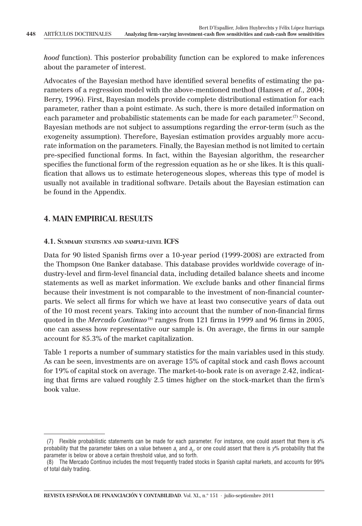*hood* function). This posterior probability function can be explored to make inferences about the parameter of interest.

Advocates of the Bayesian method have identified several benefits of estimating the parameters of a regression model with the above-mentioned method (Hansen *et al*., 2004; Berry, 1996). First, Bayesian models provide complete distributional estimation for each parameter, rather than a point estimate. As such, there is more detailed information on each parameter and probabilistic statements can be made for each parameter.<sup>(7)</sup> Second, Bayesian methods are not subject to assumptions regarding the error-term (such as the exogeneity assumption). Therefore, Bayesian estimation provides arguably more accurate information on the parameters. Finally, the Bayesian method is not limited to certain pre-specified functional forms. In fact, within the Bayesian algorithm, the researcher specifies the functional form of the regression equation as he or she likes. It is this qualification that allows us to estimate heterogeneous slopes, whereas this type of model is usually not available in traditional software. Details about the Bayesian estimation can be found in the Appendix.

## **4. MAIN EMPIRICAL RESULTS**

## **4.1. SUMMARY STATISTICS AND SAMPLE-LEVEL ICFS**

Data for 90 listed Spanish firms over a 10-year period (1999-2008) are extracted from the Thompson One Banker database. This database provides worldwide coverage of industry-level and firm-level financial data, including detailed balance sheets and income statements as well as market information. We exclude banks and other financial firms because their investment is not comparable to the investment of non-financial counterparts. We select all firms for which we have at least two consecutive years of data out of the 10 most recent years. Taking into account that the number of non-financial firms quoted in the *Mercado Continuo* (8) ranges from 121 firms in 1999 and 96 firms in 2005, one can assess how representative our sample is. On average, the firms in our sample account for 85.3% of the market capitalization.

Table 1 reports a number of summary statistics for the main variables used in this study. As can be seen, investments are on average 15% of capital stock and cash flows account for 19% of capital stock on average. The market-to-book rate is on average 2.42, indicating that firms are valued roughly 2.5 times higher on the stock-market than the firm's book value.

 <sup>(7)</sup> Flexible probabilistic statements can be made for each parameter. For instance, one could assert that there is x% probability that the parameter takes on a value between  $a_{\scriptscriptstyle \rm I}$  and  $a_{\scriptscriptstyle 2}$ , or one could assert that there is  $y\%$  probability that the parameter is below or above a certain threshold value, and so forth.

 <sup>(8)</sup> The Mercado Continuo includes the most frequently traded stocks in Spanish capital markets, and accounts for 99% of total daily trading.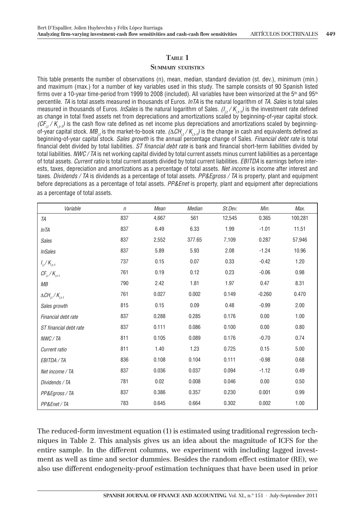## **TABLE 1**

## **SUMMARY STATISTICS**

This table presents the number of observations (n), mean, median, standard deviation (st. dev.), minimum (min.) and maximum (max.) for a number of key variables used in this study. The sample consists of 90 Spanish listed firms over a 10-year time-period from 1999 to 2008 (included). All variables have been winsorized at the 5<sup>th</sup> and 95<sup>th</sup> percentile. TA is total assets measured in thousands of Euros. In TA is the natural logarithm of TA. Sales is total sales measured in thousands of Euros. *InSales* is the natural logarithm of Sales.  $(l_i, K_{i,t})$  is the investment rate defined as change in total fixed assets net from depreciations and amortizations scaled by beginning-of-year capital stock.  $(CF_i, / K_{i,t})$  is the cash flow rate defined as net income plus depreciations and amortizations scaled by beginningof-year capital stock.  $MB_i$ , is the market-to-book rate. ( $\Delta CH_i$ , / $K_{i,j}$ ) is the change in cash and equivalents defined as beginning-of-year capital stock. Sales growth is the annual percentage change of Sales. Financial debt rate is total financial debt divided by total liabilities. ST financial debt rate is bank and financial short-term liabilities divided by total liabilities. NWC / TA is net working capital divided by total current assets minus current liabilities as a percentage of total assets. Current ratio is total current assets divided by total current liabilities. EBITDA is earnings before interests, taxes, depreciation and amortizations as a percentage of total assets. Net income is income after interest and taxes. Dividends / TA is dividends as a percentage of total assets. PP&Egross / TA is property, plant and equipment before depreciations as a percentage of total assets. PP&Enet is property, plant and equipment after depreciations as a percentage of total assets.

| Variable                    | $\eta$ | Mean  | Median | St.Dev. | Min.     | Max.    |
|-----------------------------|--------|-------|--------|---------|----------|---------|
| ТA                          | 837    | 4,667 | 561    | 12,545  | 0.365    | 100,281 |
| <i>InTA</i>                 | 837    | 6.49  | 6.33   | 1.99    | $-1.01$  | 11.51   |
| <b>Sales</b>                | 837    | 2,552 | 377.65 | 7,109   | 0.287    | 57,946  |
| <b>InSales</b>              | 837    | 5.89  | 5.93   | 2.08    | $-1.24$  | 10.96   |
| $I_{i,t}/K_{i,t-1}$         | 737    | 0.15  | 0.07   | 0.33    | $-0.42$  | 1.20    |
| $CF_{it}/K_{it-1}$          | 761    | 0.19  | 0.12   | 0.23    | $-0.06$  | 0.98    |
| МB                          | 790    | 2.42  | 1.81   | 1.97    | 0.47     | 8.31    |
| $\Delta CH_{i,t}/K_{i,t-1}$ | 761    | 0.027 | 0.002  | 0.149   | $-0.260$ | 0.470   |
| Sales growth                | 815    | 0.15  | 0.09   | 0.48    | $-0.99$  | 2.00    |
| Financial debt rate         | 837    | 0.288 | 0.285  | 0.176   | 0.00     | 1.00    |
| ST financial debt rate      | 837    | 0.111 | 0.086  | 0.100   | 0.00     | 0.80    |
| NWC / TA                    | 811    | 0.105 | 0.089  | 0.176   | $-0.70$  | 0.74    |
| Current ratio               | 811    | 1.40  | 1.23   | 0.725   | 0.15     | 5.00    |
| EBITDA / TA                 | 836    | 0.108 | 0.104  | 0.111   | $-0.98$  | 0.68    |
| Net income / TA             | 837    | 0.036 | 0.037  | 0.094   | $-1.12$  | 0.49    |
| Dividends / TA              | 781    | 0.02  | 0.008  | 0.046   | 0.00     | 0.50    |
| PP&Egross / TA              | 837    | 0.386 | 0.357  | 0.230   | 0.001    | 0.99    |
| PP&Enet / TA                | 783    | 0.645 | 0.664  | 0.302   | 0.002    | 1.00    |

The reduced-form investment equation (1) is estimated using traditional regression techniques in Table 2. This analysis gives us an idea about the magnitude of ICFS for the entire sample. In the different columns, we experiment with including lagged investment as well as time and sector dummies. Besides the random effect estimator (RE), we also use different endogeneity-proof estimation techniques that have been used in prior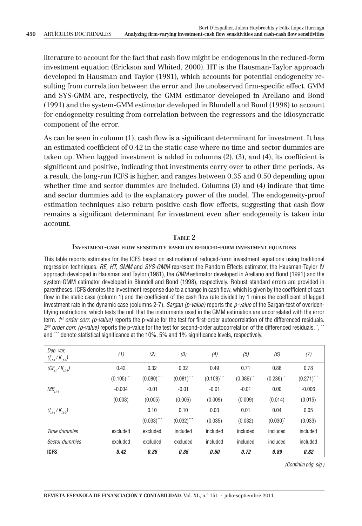literature to account for the fact that cash flow might be endogenous in the reduced-form investment equation (Erickson and Whited, 2000). HT is the Hausman-Taylor approach developed in Hausman and Taylor (1981), which accounts for potential endogeneity resulting from correlation between the error and the unobserved firm-specific effect. GMM and SYS-GMM are, respectively, the GMM estimator developed in Arellano and Bond (1991) and the system-GMM estimator developed in Blundell and Bond (1998) to account for endogeneity resulting from correlation between the regressors and the idiosyncratic component of the error.

As can be seen in column (1), cash flow is a significant determinant for investment. It has an estimated coefficient of 0.42 in the static case where no time and sector dummies are taken up. When lagged investment is added in columns  $(2)$ ,  $(3)$ , and  $(4)$ , its coefficient is significant and positive, indicating that investments carry over to other time periods. As a result, the long-run ICFS is higher, and ranges between 0.35 and 0.50 depending upon whether time and sector dummies are included. Columns (3) and (4) indicate that time and sector dummies add to the explanatory power of the model. The endogeneity-proof estimation techniques also return positive cash flow effects, suggesting that cash flow remains a significant determinant for investment even after endogeneity is taken into account.

## **TABLE 2**

## **INVESTMENT-CASH FLOW SENSITIVITY BASED ON REDUCED-FORM INVESTMENT EQUATIONS**

This table reports estimates for the ICFS based on estimation of reduced-form investment equations using traditional regression techniques. RE, HT, GMM and SYS-GMM represent the Random Effects estimator, the Hausman-Taylor IV approach developed in Hausman and Taylor (1981), the GMM estimator developed in Arellano and Bond (1991) and the system-GMM estimator developed in Blundell and Bond (1998), respectively. Robust standard errors are provided in parentheses. ICFS denotes the investment response due to a change in cash flow, which is given by the coefficient of cash flow in the static case (column 1) and the coefficient of the cash flow rate divided by 1 minus the coefficient of lagged investment rate in the dynamic case (columns 2-7). Sargan (p-value) reports the p-value of the Sargan-test of overidentifying restrictions, which tests the null that the instruments used in the GMM estimation are uncorrelated with the error term.  $1st$  order corr. (p-value) reports the p-value for the test for first-order autocorrelation of the differenced residuals.  $^{2nd}$  order corr. (p-value) reports the p-value for the test for second-order autocorrelation of the differenced residuals.  $\cdot$ ,  $\cdot$ and \*\*\* denote statistical significance at the 10%, 5% and 1% significance levels, respectively.

| Dep. var.<br>$(l_{i,t-1}/K_{i,t-1})$ | (1)                      | (2)                      | (3)                      | (4)          | (5)                      | (6)                      | (7)                      |
|--------------------------------------|--------------------------|--------------------------|--------------------------|--------------|--------------------------|--------------------------|--------------------------|
| $(CF_{it}/K_{it-1})$                 | 0.42                     | 0.32                     | 0.32                     | 0.49         | 0.71                     | 0.86                     | 0.78                     |
|                                      | $(0.105)$ <sup>***</sup> | $(0.080)$ <sup>***</sup> | $(0.081)$ <sup>***</sup> | $(0.108)^{}$ | $(0.086)$ <sup>***</sup> | $(0.236)$ <sup>***</sup> | $(0.271)$ <sup>***</sup> |
| $MB_{i,t-1}$                         | $-0.004$                 | $-0.01$                  | $-0.01$                  | $-0.01$      | $-0.01$                  | 0.00                     | $-0.006$                 |
|                                      | (0.008)                  | (0.005)                  | (0.006)                  | (0.009)      | (0.009)                  | (0.014)                  | (0.015)                  |
| $(l_{i,t-1}/K_{i,t-2})$              |                          | 0.10                     | 0.10                     | 0.03         | 0.01                     | 0.04                     | 0.05                     |
|                                      |                          | $(0.033)$ <sup>***</sup> | $(0.032)$ <sup>***</sup> | (0.035)      | (0.032)                  | $(0.030)$ <sup>*</sup>   | (0.033)                  |
| Time dummies                         | excluded                 | excluded                 | included                 | included     | included                 | included                 | included                 |
| Sector dummies                       | excluded                 | excluded                 | excluded                 | included     | included                 | included                 | included                 |
| <b>ICFS</b>                          | 0.42                     | 0.35                     | 0.35                     | 0.50         | 0.72                     | 0.89                     | 0.82                     |

(Continúa pág. sig.)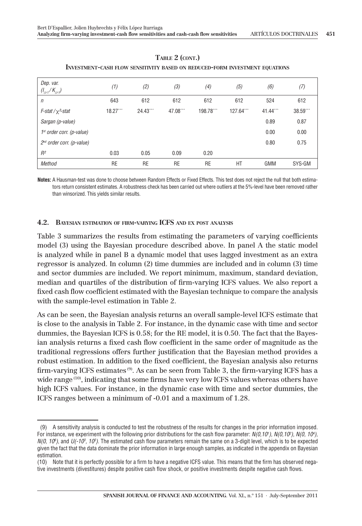| Dep. var.<br>$(l_{i,t-1}/K_{i,t-1})$ | (1)       | (2)   | (3)      | (4)       | (5)    | (6)        | (7)    |
|--------------------------------------|-----------|-------|----------|-----------|--------|------------|--------|
| $\sqrt{n}$                           | 643       | 612   | 612      | 612       | 612    | 524        | 612    |
| $F$ -stat / $\chi^2$ -stat           | 18.27     | 24.43 | 47.08*** | 198.78*** | 127.64 | 41.44      | 38.59  |
| Sargan (p-value)                     |           |       |          |           |        | 0.89       | 0.87   |
| $1st order corr. (p-value)$          |           |       |          |           |        | 0.00       | 0.00   |
| $2nd$ order corr. (p-value)          |           |       |          |           |        | 0.80       | 0.75   |
| $R^2$                                | 0.03      | 0.05  | 0.09     | 0.20      |        |            |        |
| Method                               | <b>RE</b> | RE    | RE       | <b>RE</b> | HT     | <b>GMM</b> | SYS-GM |

## **TABLE 2 (CONT.) INVESTMENT-CASH FLOW SENSITIVITY BASED ON REDUCED-FORM INVESTMENT EQUATIONS**

**Notes:** A Hausman-test was done to choose between Random Effects or Fixed Effects. This test does not reject the null that both estimators return consistent estimates. A robustness check has been carried out where outliers at the 5%-level have been removed rather than winsorized. This yields similar results.

## **4.2. BAYESIAN ESTIMATION OF FIRM-VARYING ICFS AND EX POST ANALYSIS**

Table 3 summarizes the results from estimating the parameters of varying coefficients model (3) using the Bayesian procedure described above. In panel A the static model is analyzed while in panel B a dynamic model that uses lagged investment as an extra regressor is analyzed. In column (2) time dummies are included and in column (3) time and sector dummies are included. We report minimum, maximum, standard deviation, median and quartiles of the distribution of firm-varying ICFS values. We also report a fixed cash flow coefficient estimated with the Bayesian technique to compare the analysis with the sample-level estimation in Table 2.

As can be seen, the Bayesian analysis returns an overall sample-level ICFS estimate that is close to the analysis in Table 2. For instance, in the dynamic case with time and sector dummies, the Bayesian ICFS is 0.58; for the RE model, it is 0.50. The fact that the Bayesian analysis returns a fixed cash flow coefficient in the same order of magnitude as the traditional regressions offers further justification that the Bayesian method provides a robust estimation. In addition to the fixed coefficient, the Bayesian analysis also returns firm-varying ICFS estimates  $\mathcal{P}$ . As can be seen from Table 3, the firm-varying ICFS has a wide range  $(10)$ , indicating that some firms have very low ICFS values whereas others have high ICFS values. For instance, in the dynamic case with time and sector dummies, the ICFS ranges between a minimum of -0.01 and a maximum of 1.28.

 <sup>(9)</sup> A sensitivity analysis is conducted to test the robustness of the results for changes in the prior information imposed. For instance, we experiment with the following prior distributions for the cash flow parameter:  $N(0,10^i)$ ,  $N(0,10^2)$ ,  $N(0,10^4)$ ,  $N(0, 10^{\circ})$ , and  $U(-10^3, 10^3)$ . The estimated cash flow parameters remain the same on a 3-digit level, which is to be expected given the fact that the data dominate the prior information in large enough samples, as indicated in the appendix on Bayesian estimation.

<sup>(10)</sup> Note that it is perfectly possible for a firm to have a negative ICFS value. This means that the firm has observed negative investments (divestitures) despite positive cash flow shock, or positive investments despite negative cash flows.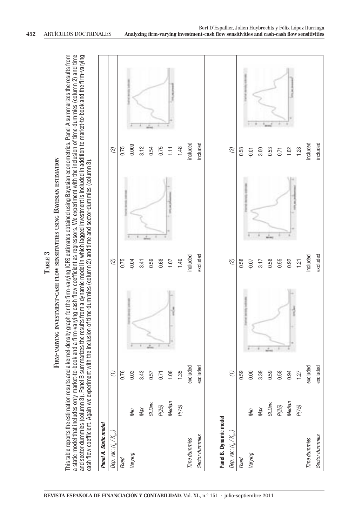# FIRM-VARYING INVESTMENT-CASH FLOW SENSITIVITIES USING BAYESIAN ESTIMATION **FIRM-VARYING INVESTMENT-CASH FLOW SENSITIVITIES USING BAYESIAN ESTIMATION**

This table reports the estimation results and a kernel-density graph for the firm-varying ICFS estimates obtained using Bayesian econometrics. Panel A summarizes the results from This table reports the estimation results and a kernel-density graph for the fi rm-varying ICFS estimates obtained using Bayesian econometrics. Panel A summarizes the results from a static model that includes only market-to-book and a firm-varying cash flow coefficient as regressors. We experiment with the inclusion of time-dummies (column 2) and time<br>and sector dummies (column 3). Panel B summarize a static model that includes only market-to-book and a firm-varying cash flow coefficient as regressors. We experiment with the inclusion of time-dummies (column 2) and time and sector dummies (column 3). Panel B summarizes the results from a dynamic model in which lagged investment is included in addition to market-to-book and the firm-varying zash flow coefficient. Again we experiment with the inclusion of time-dummies (column 2) and time and sector-dummies (column 3). cash flow coefficient. Again we experiment with the inclusion of time-dummies (column 2) and time and sector-dummies (column 3).

| Panel A. Static model                 |                  |                                                                                                                                                                                                                                                                                                                     |                                                                                                                                                              |                                                                                                                                                                                     |  |
|---------------------------------------|------------------|---------------------------------------------------------------------------------------------------------------------------------------------------------------------------------------------------------------------------------------------------------------------------------------------------------------------|--------------------------------------------------------------------------------------------------------------------------------------------------------------|-------------------------------------------------------------------------------------------------------------------------------------------------------------------------------------|--|
| Dep. var.: $(l_{i}/K_{i}$ .           |                  | $\vert$                                                                                                                                                                                                                                                                                                             | $\infty$                                                                                                                                                     | $\boxed{3}$                                                                                                                                                                         |  |
| Fixed                                 |                  |                                                                                                                                                                                                                                                                                                                     |                                                                                                                                                              |                                                                                                                                                                                     |  |
| Varying                               | Nin              | 0.76<br>0.03<br>0.57<br>0.71<br>0.35<br>1.35                                                                                                                                                                                                                                                                        |                                                                                                                                                              |                                                                                                                                                                                     |  |
|                                       | Max              |                                                                                                                                                                                                                                                                                                                     |                                                                                                                                                              |                                                                                                                                                                                     |  |
|                                       | St.Dev.          |                                                                                                                                                                                                                                                                                                                     |                                                                                                                                                              |                                                                                                                                                                                     |  |
|                                       | P(25)            |                                                                                                                                                                                                                                                                                                                     |                                                                                                                                                              |                                                                                                                                                                                     |  |
|                                       | Median           |                                                                                                                                                                                                                                                                                                                     |                                                                                                                                                              |                                                                                                                                                                                     |  |
|                                       | P(75)            |                                                                                                                                                                                                                                                                                                                     |                                                                                                                                                              | $0.75$<br>$0.0009$<br>$0.512$<br>$0.54$<br>$1.11$<br>$1.48$<br>$1.48$<br>$1.48$                                                                                                     |  |
| Time dummies                          |                  | excluded                                                                                                                                                                                                                                                                                                            |                                                                                                                                                              |                                                                                                                                                                                     |  |
| Sector dummies                        |                  | excluded                                                                                                                                                                                                                                                                                                            | excluded                                                                                                                                                     | included                                                                                                                                                                            |  |
|                                       |                  |                                                                                                                                                                                                                                                                                                                     |                                                                                                                                                              |                                                                                                                                                                                     |  |
| Panel B. Dynamic model                |                  |                                                                                                                                                                                                                                                                                                                     |                                                                                                                                                              |                                                                                                                                                                                     |  |
| Dep. var.: $(l_{it}/K_{it\text{-}t})$ |                  |                                                                                                                                                                                                                                                                                                                     |                                                                                                                                                              |                                                                                                                                                                                     |  |
| Fixed                                 |                  |                                                                                                                                                                                                                                                                                                                     |                                                                                                                                                              |                                                                                                                                                                                     |  |
| Varying                               | Min              |                                                                                                                                                                                                                                                                                                                     |                                                                                                                                                              |                                                                                                                                                                                     |  |
|                                       | Max              |                                                                                                                                                                                                                                                                                                                     |                                                                                                                                                              |                                                                                                                                                                                     |  |
|                                       | St.Dev.<br>P(25) | $\frac{1}{2}$ $\frac{1}{2}$ $\frac{1}{2}$ $\frac{1}{2}$ $\frac{1}{2}$ $\frac{1}{2}$ $\frac{1}{2}$ $\frac{1}{2}$ $\frac{1}{2}$ $\frac{1}{2}$ $\frac{1}{2}$ $\frac{1}{2}$ $\frac{1}{2}$ $\frac{1}{2}$ $\frac{1}{2}$ $\frac{1}{2}$ $\frac{1}{2}$ $\frac{1}{2}$ $\frac{1}{2}$ $\frac{1}{2}$ $\frac{1}{2}$ $\frac{1}{2}$ | $\frac{(2)}{0.58}$<br>$\frac{0.58}{0.57}$<br>$\frac{0.57}{0.56}$<br>$\frac{0.59}{0.59}$<br>$\frac{0.59}{0.51}$<br>$\frac{0.59}{0.59}$<br>$\frac{0.59}{0.59}$ | $\begin{array}{r} (3) \\ \hline 0.58 \\ -0.01 \\ 3.00 \\ 0.53 \\ 0.71 \\ 1.28 \\ \hline \end{array}$<br>$\begin{array}{r} (3) \\ \hline 0.53 \\ 0.71 \\ 1.28 \\ \hline \end{array}$ |  |
|                                       |                  |                                                                                                                                                                                                                                                                                                                     |                                                                                                                                                              |                                                                                                                                                                                     |  |
|                                       | Median           |                                                                                                                                                                                                                                                                                                                     |                                                                                                                                                              |                                                                                                                                                                                     |  |
|                                       | P(75)            |                                                                                                                                                                                                                                                                                                                     |                                                                                                                                                              |                                                                                                                                                                                     |  |
| Time dummies                          |                  | excluded                                                                                                                                                                                                                                                                                                            |                                                                                                                                                              |                                                                                                                                                                                     |  |
| Sector dummies                        |                  | excluded                                                                                                                                                                                                                                                                                                            | excluded                                                                                                                                                     |                                                                                                                                                                                     |  |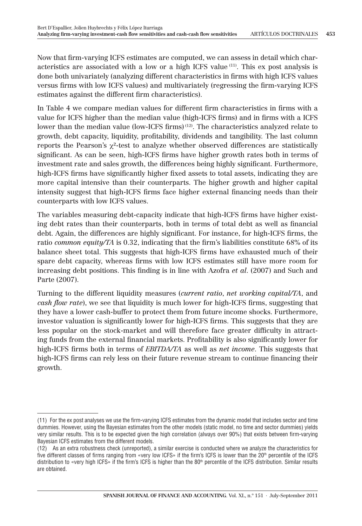Now that firm-varying ICFS estimates are computed, we can assess in detail which characteristics are associated with a low or a high ICFS value (11). This ex post analysis is done both univariately (analyzing different characteristics in firms with high ICFS values versus firms with low ICFS values) and multivariately (regressing the firm-varying ICFS estimates against the different firm characteristics).

In Table 4 we compare median values for different firm characteristics in firms with a value for ICFS higher than the median value (high-ICFS firms) and in firms with a ICFS lower than the median value (low-ICFS firms)  $(12)$ . The characteristics analyzed relate to growth, debt capacity, liquidity, profitability, dividends and tangibility. The last column reports the Pearson's  $\gamma^2$ -test to analyze whether observed differences are statistically significant. As can be seen, high-ICFS firms have higher growth rates both in terms of investment rate and sales growth, the differences being highly significant. Furthermore, high-ICFS firms have significantly higher fixed assets to total assets, indicating they are more capital intensive than their counterparts. The higher growth and higher capital intensity suggest that high-ICFS firms face higher external financing needs than their counterparts with low ICFS values.

The variables measuring debt-capacity indicate that high-ICFS firms have higher existing debt rates than their counterparts, both in terms of total debt as well as financial debt. Again, the differences are highly significant. For instance, for high-ICFS firms, the ratio *common equity/TA* is 0.32, indicating that the firm's liabilities constitute 68% of its balance sheet total. This suggests that high-ICFS firms have exhausted much of their spare debt capacity, whereas firms with low ICFS estimates still have more room for increasing debt positions. This finding is in line with Azofra *et al.* (2007) and Such and Parte (2007).

Turning to the different liquidity measures (*current ratio*, *net working capital/TA*, and *cash flow rate*), we see that liquidity is much lower for high-ICFS firms, suggesting that they have a lower cash-buffer to protect them from future income shocks. Furthermore, investor valuation is significantly lower for high-ICFS firms. This suggests that they are less popular on the stock-market and will therefore face greater difficulty in attracting funds from the external financial markets. Profitability is also significantly lower for high-ICFS firms both in terms of *EBITDA/TA* as well as *net income*. This suggests that high-ICFS firms can rely less on their future revenue stream to continue financing their growth.

<sup>(11)</sup> For the ex post analyses we use the firm-varying ICFS estimates from the dynamic model that includes sector and time dummies. However, using the Bayesian estimates from the other models (static model, no time and sector dummies) yields very similar results. This is to be expected given the high correlation (always over 90%) that exists between firm-varying Bayesian ICFS estimates from the different models.

<sup>(12)</sup> As an extra robustness check (unreported), a similar exercise is conducted where we analyze the characteristics for five different classes of firms ranging from «very low ICFS» if the firm's ICFS is lower than the 20<sup>th</sup> percentile of the ICFS distribution to «very high ICFS» if the firm's ICFS is higher than the 80<sup>th</sup> percentile of the ICFS distribution. Similar results are obtained.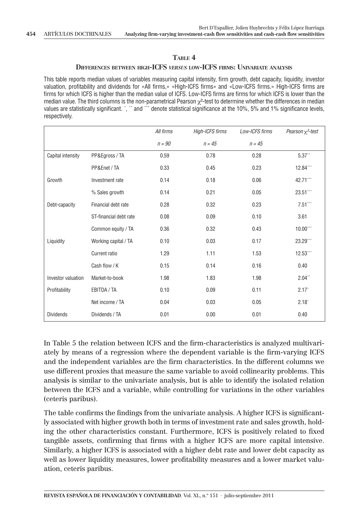## **TABLE 4**

## **DIFFERENCES BETWEEN HIGH-ICFS** *VERSUS* **LOW-ICFS FIRMS: UNIVARIATE ANALYSIS**

This table reports median values of variables measuring capital intensity, firm growth, debt capacity, liquidity, investor valuation, profitability and dividends for «All firms,» «High-ICFS firms» and «Low-ICFS firms.» High-ICFS firms are firms for which ICFS is higher than the median value of ICFS. Low-ICFS firms are firms for which ICFS is lower than the median value. The third columns is the non-parametrical Pearson  $\chi^2$ -test to determine whether the differences in median values are statistically significant. \*, \*\* and \*\*\* denote statistical significance at the 10%, 5% and 1% significance levels, respectively.

|                    |                        | All firms | <b>High-ICFS firms</b> | Low-ICFS firms | Pearson $\chi^2$ -test |
|--------------------|------------------------|-----------|------------------------|----------------|------------------------|
|                    |                        | $n = 90$  | $n = 45$               | $n = 45$       |                        |
| Capital intensity  | PP&Egross / TA         | 0.59      | 0.78                   | 0.28           | 5.37                   |
|                    | PP&Enet / TA           | 0.33      | 0.45                   | 0.23           | 12.84                  |
| Growth             | Investment rate        | 0.14      | 0.18                   | 0.06           | 42.71                  |
|                    | % Sales growth         | 0.14      | 0.21                   | 0.05           | 23.51                  |
| Debt-capacity      | Financial debt rate    | 0.28      | 0.32                   | 0.23           | 7.51                   |
|                    | ST-financial debt rate | 0.08      | 0.09                   | 0.10           | 3.61                   |
|                    | Common equity / TA     | 0.36      | 0.32                   | 0.43           | 10.00                  |
| Liquidity          | Working capital / TA   | 0.10      | 0.03                   | 0.17           | 23.29                  |
|                    | Current ratio          | 1.29      | 1.11                   | 1.53           | 12.53                  |
|                    | Cash flow / K          | 0.15      | 0.14                   | 0.16           | 0.40                   |
| Investor valuation | Market-to-book         | 1.98      | 1.83                   | 1.98           | $2.04$ <sup>**</sup>   |
| Profitability      | EBITDA / TA            | 0.10      | 0.09                   | 0.11           | $2.17^{\circ}$         |
|                    | Net income / TA        | 0.04      | 0.03                   | 0.05           | $2.18^{\circ}$         |
| <b>Dividends</b>   | Dividends / TA         | 0.01      | 0.00                   | 0.01           | 0.40                   |

In Table 5 the relation between ICFS and the firm-characteristics is analyzed multivariately by means of a regression where the dependent variable is the firm-varying ICFS and the independent variables are the firm characteristics. In the different columns we use different proxies that measure the same variable to avoid collinearity problems. This analysis is similar to the univariate analysis, but is able to identify the isolated relation between the ICFS and a variable, while controlling for variations in the other variables (ceteris paribus).

The table confirms the findings from the univariate analysis. A higher ICFS is significantly associated with higher growth both in terms of investment rate and sales growth, holding the other characteristics constant. Furthermore, ICFS is positively related to fixed tangible assets, confirming that firms with a higher ICFS are more capital intensive. Similarly, a higher ICFS is associated with a higher debt rate and lower debt capacity as well as lower liquidity measures, lower profitability measures and a lower market valuation, ceteris paribus.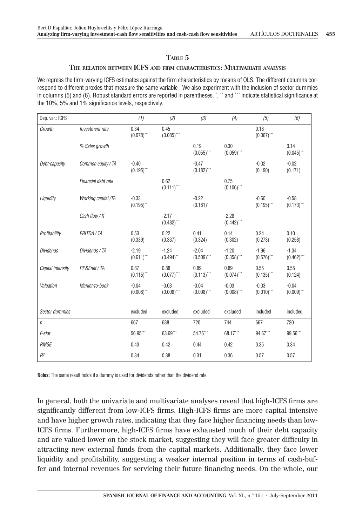## **TABLE 5**

## **THE RELATION BETWEEN ICFS AND FIRM CHARACTERISTICS: MULTIVARIATE ANALYSIS**

We regress the firm-varying ICFS estimates against the firm characteristics by means of OLS. The different columns correspond to different proxies that measure the same variable . We also experiment with the inclusion of sector dummies in columns (5) and (6). Robust standard errors are reported in parentheses.  $\,$ ,  $\, \dot{ } \,$  and  $\, \dot{ } \,$  indicate statistical significance at the 10%, 5% and 1% significance levels, respectively.

| Dep. var.: ICFS   |                     | (1)                                 | (2)                                 | (3)                                 | (4)                                 | (5)                                 | (6)                                 |
|-------------------|---------------------|-------------------------------------|-------------------------------------|-------------------------------------|-------------------------------------|-------------------------------------|-------------------------------------|
| Growth            | Investment rate     | 0.34<br>$(0.078)$ <sup>***</sup>    | 0.45<br>$(0.085)$ <sup>***</sup>    |                                     |                                     | 0.18<br>$(0.067)$ <sup>"</sup>      |                                     |
|                   | % Sales growth      |                                     |                                     | 0.19<br>$(0.055)$ <sup>***</sup>    | 0.30<br>$(0.059)$ <sup>***</sup>    |                                     | 0.14<br>$(0.045)$ <sup>***</sup>    |
| Debt-capacity     | Common equity / TA  | $-0.40$<br>$(0.195)$ <sup>***</sup> |                                     | $-0.47$<br>$(0.182)$ <sup>***</sup> |                                     | $-0.02$<br>(0.190)                  | $-0.02$<br>(0.171)                  |
|                   | Financial debt rate |                                     | 0.62<br>$(0.111)^{\cdots}$          |                                     | 0.75<br>$(0.106)$ <sup>***</sup>    |                                     |                                     |
| Liquidity         | Working capital /TA | $-0.33$<br>$(0.195)$ "              |                                     | $-0.22$<br>$(0.181)$ <sup>*</sup>   |                                     | $-0.60$<br>$(0.195)$ <sup>***</sup> | $-0.58$<br>$(0.173)$ <sup>***</sup> |
|                   | Cash flow / K       |                                     | $-2.17$<br>$(0.482)$ <sup>***</sup> |                                     | $-2.28$<br>$(0.442)$ <sup>***</sup> |                                     |                                     |
| Profitability     | EBITDA / TA         | 0.53<br>(0.339)                     | 0.22<br>(0.337)                     | 0.41<br>(0.324)                     | 0.14<br>(0.302)                     | 0.24<br>(0.273)                     | 0.10<br>(0.258)                     |
| <b>Dividends</b>  | Dividends / TA      | $-2.19$<br>$(0.611)$ <sup>***</sup> | $-1.24$<br>$(0.494)$ <sup>**</sup>  | $-2.04$<br>$(0.509)$ <sup>***</sup> | $-1.20$<br>$(0.358)$ <sup>***</sup> | $-1.96$<br>$(0.576)$ <sup>***</sup> | $-1.34$<br>$(0.462)$ <sup>***</sup> |
| Capital intensity | PP&Enet / TA        | 0.87<br>$(0.115)$ <sup>***</sup>    | 0.88<br>$(0.077)$ <sup>***</sup>    | 0.89<br>$(0.113)$ <sup>***</sup>    | 0.89<br>$(0.074)$ <sup>***</sup>    | 0.55<br>$(0.135)$ <sup>***</sup>    | 0.55<br>(0.124)                     |
| Valuation         | Market-to-book      | $-0.04$<br>$(0.008)$ <sup>***</sup> | $-0.03$<br>$(0.008)$ <sup>***</sup> | $-0.04$<br>$(0.008)$ <sup>***</sup> | $-0.03$<br>$(0.008)$                | $-0.03$<br>$(0.010)$ <sup></sup>    | $-0.04$<br>$(0.009)$                |
| Sector dummies    |                     | excluded                            | excluded                            | excluded                            | excluded                            | included                            | included                            |
| $\eta$            |                     | 667                                 | 688                                 | 720                                 | 744                                 | 667                                 | 720                                 |
| F-stat            |                     | 56.95***                            | 63.69***                            | 54.76***                            | 68.17***                            | 94.67                               | 99.56***                            |
| <b>RMSE</b>       |                     | 0.43                                | 0.42                                | 0.44                                | 0.42                                | 0.35                                | 0.34                                |
| $R^2$             |                     | 0.34                                | 0.38                                | 0.31                                | 0.36                                | 0.57                                | 0.57                                |

**Notes:** The same result holds if a dummy is used for dividends rather than the dividend rate.

In general, both the univariate and multivariate analyses reveal that high-ICFS firms are significantly different from low-ICFS firms. High-ICFS firms are more capital intensive and have higher growth rates, indicating that they face higher financing needs than low-ICFS firms. Furthermore, high-ICFS firms have exhausted much of their debt capacity and are valued lower on the stock market, suggesting they will face greater difficulty in attracting new external funds from the capital markets. Additionally, they face lower liquidity and profitability, suggesting a weaker internal position in terms of cash-buffer and internal revenues for servicing their future financing needs. On the whole, our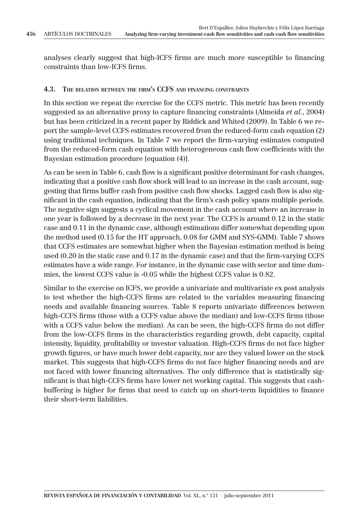analyses clearly suggest that high-ICFS firms are much more susceptible to financing constraints than low-ICFS firms.

## **4.3. THE RELATION BETWEEN THE FIRM'S CCFS AND FINANCING CONSTRAINTS**

In this section we repeat the exercise for the CCFS metric. This metric has been recently suggested as an alternative proxy to capture financing constraints (Almeida *et al.*, 2004) but has been criticized in a recent paper by Riddick and Whited (2009). In Table 6 we report the sample-level CCFS estimates recovered from the reduced-form cash equation (2) using traditional techniques. In Table 7 we report the firm-varying estimates computed from the reduced-form cash equation with heterogeneous cash flow coefficients with the Bayesian estimation procedure [equation (4)].

As can be seen in Table 6, cash flow is a significant positive determinant for cash changes, indicating that a positive cash flow shock will lead to an increase in the cash account, suggesting that firms buffer cash from positive cash flow shocks. Lagged cash flow is also significant in the cash equation, indicating that the firm's cash policy spans multiple periods. The negative sign suggests a cyclical movement in the cash account where an increase in one year is followed by a decrease in the next year. The CCFS is around 0.12 in the static case and 0.11 in the dynamic case, although estimations differ somewhat depending upon the method used (0.15 for the HT approach, 0.08 for GMM and SYS-GMM). Table 7 shows that CCFS estimates are somewhat higher when the Bayesian estimation method is being used (0.20 in the static case and 0.17 in the dynamic case) and that the firm-varying CCFS estimates have a wide range. For instance, in the dynamic case with sector and time dummies, the lowest CCFS value is -0.05 while the highest CCFS value is 0.82.

Similar to the exercise on ICFS, we provide a univariate and multivariate ex post analysis to test whether the high-CCFS firms are related to the variables measuring financing needs and available financing sources. Table 8 reports univariate differences between high-CCFS firms (those with a CCFS value above the median) and low-CCFS firms (those with a CCFS value below the median). As can be seen, the high-CCFS firms do not differ from the low-CCFS firms in the characteristics regarding growth, debt capacity, capital intensity, liquidity, profitability or investor valuation. High-CCFS firms do not face higher growth figures, or have much lower debt capacity, nor are they valued lower on the stock market. This suggests that high-CCFS firms do not face higher financing needs and are not faced with lower financing alternatives. The only difference that is statistically significant is that high-CCFS firms have lower net working capital. This suggests that cashbuffering is higher for firms that need to catch up on short-term liquidities to finance their short-term liabilities.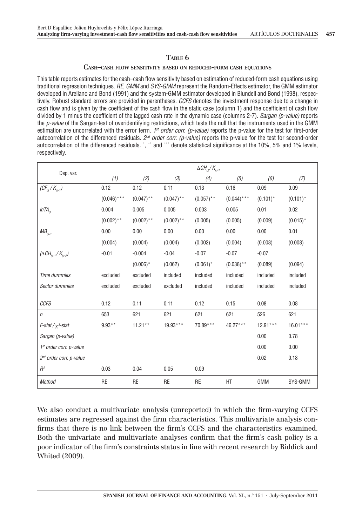## **TABLE 6**

### **CASH–CASH FLOW SENSITIVITY BASED ON REDUCED-FORM CASH EQUATIONS**

This table reports estimates for the cash–cash flow sensitivity based on estimation of reduced-form cash equations using traditional regression techniques. RE, GMM and SYS-GMM represent the Random-Effects estimator, the GMM estimator developed in Arellano and Bond (1991) and the system-GMM estimator developed in Blundell and Bond (1998), respectively. Robust standard errors are provided in parentheses. CCFS denotes the investment response due to a change in cash flow and is given by the coefficient of the cash flow in the static case (column 1) and the coefficient of cash flow divided by 1 minus the coefficient of the lagged cash rate in the dynamic case (columns 2-7). Sargan (p-value) reports the *p-value* of the Sargan-test of overidentifying restrictions, which tests the null that the instruments used in the GMM estimation are uncorrelated with the error term.  $1<sup>st</sup> order corr.$  (p-value) reports the p-value for the test for first-order autocorrelation of the differenced residuals. 2<sup>nd</sup> order corr. (p-value) reports the p-value for the test for second-order autocorrelation of the differenced residuals. \*, \*\* and \*\*\* denote statistical significance at the 10%, 5% and 1% levels, respectively.

|                                     |               |              |              | $\Delta CH_{it}/K_{i,t-1}$ |               |             |             |
|-------------------------------------|---------------|--------------|--------------|----------------------------|---------------|-------------|-------------|
| Dep. var.                           | (1)           | (2)          | (3)          | (4)                        | (5)           | (6)         | (7)         |
| $(CF_{i,t}/K_{i,t-t})$              | 0.12          | 0.12         | 0.11         | 0.13                       | 0.16          | 0.09        | 0.09        |
|                                     | $(0.046)$ *** | $(0.047)$ ** | $(0.047)$ ** | $(0.057)$ **               | $(0.044)$ *** | $(0.101)^*$ | $(0.101)^*$ |
| $InTA_{i,t}$                        | 0.004         | 0.005        | 0.005        | 0.003                      | 0.005         | 0.01        | 0.02        |
|                                     | $(0.002)$ **  | $(0.002)$ ** | $(0.002)$ ** | (0.005)                    | (0.005)       | (0.009)     | $(0.015)^*$ |
| $MB_{i,t-1}$                        | 0.00          | 0.00         | 0.00         | 0.00                       | 0.00          | 0.00        | 0.01        |
|                                     | (0.004)       | (0.004)      | (0.004)      | (0.002)                    | (0.004)       | (0.008)     | (0.008)     |
| $(\Delta CH_{i,t-1} / K_{i,t-2})$   | $-0.01$       | $-0.004$     | $-0.04$      | $-0.07$                    | $-0.07$       | $-0.07$     |             |
|                                     |               | $(0.006)^*$  | (0.062)      | $(0.061)^*$                | $(0.038)$ **  | (0.089)     | (0.094)     |
| Time dummies                        | excluded      | excluded     | included     | included                   | included      | included    | included    |
| Sector dummies                      | excluded      | excluded     | excluded     | included                   | included      | included    | included    |
|                                     |               |              |              |                            |               |             |             |
| <b>CCFS</b>                         | 0.12          | 0.11         | 0.11         | 0.12                       | 0.15          | 0.08        | 0.08        |
| $\sqrt{n}$                          | 653           | 621          | 621          | 621                        | 621           | 526         | 621         |
| $F$ -stat / $\chi^2$ -stat          | $9.93**$      | $11.21***$   | 19.93 ***    | 70.89***                   | 46.27***      | 12.91***    | $16.01***$  |
| Sargan (p-value)                    |               |              |              |                            |               | 0.00        | 0.78        |
| 1 <sup>st</sup> order corr. p-value |               |              |              |                            |               | 0.00        | 0.00        |
| $2nd$ order corr. p-value           |               |              |              |                            |               | 0.02        | 0.18        |
| $R^2$                               | 0.03          | 0.04         | 0.05         | 0.09                       |               |             |             |
| Method                              | <b>RE</b>     | <b>RE</b>    | <b>RE</b>    | <b>RE</b>                  | HT            | <b>GMM</b>  | SYS-GMM     |

We also conduct a multivariate analysis (unreported) in which the firm-varying CCFS estimates are regressed against the firm characteristics. This multivariate analysis confirms that there is no link between the firm's CCFS and the characteristics examined. Both the univariate and multivariate analyses confirm that the firm's cash policy is a poor indicator of the firm's constraints status in line with recent research by Riddick and Whited (2009).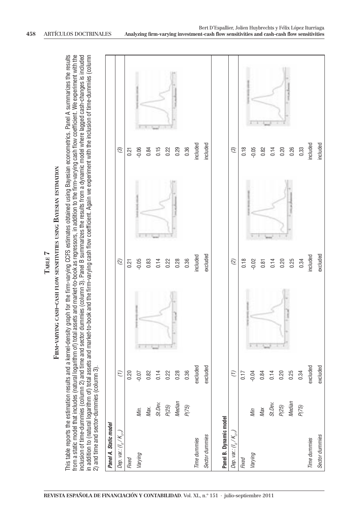## FIRM-VARYING CASH-CASH FLOW SENSITIVITIES USING BAYESIAN ESTIMATION **FIRM-VARYING CASH–CASH FLOW SENSITIVITIES USING BAYESIAN ESTIMATION**

This table reports the estimation results and a kernel-density graph for the firm-varying CCFS estimates obtained using Bayesian econometrics. Panel A summarizes the results This table reports the estimation results and a kernel-density graph for the firm-varying CCFS estimates obtained using Bayesian econometrics. Panel A summarizes the results rom a static model that includes (natural logarithm of) total assets and market-to-book as regressors, in addition to the firm-varying cash flow coefficient. We experiment with the from a static model that includes (natural logarithm of) total assets and market-to-book as regressors, in addition to the fi rm-varying cash fl ow coeffi cient. We experiment with the nclusion of time-dummies (column 2) and time and sector dummies (column 3). Panel B summarizes the results from a dynamic model where lagged cash-changes is included inclusion of time-dummies (column 2) and time and sector dummies (column 3). Panel B summarizes the results from a dynamic model where lagged cash-changes is included in addition to (natural logarithm of) total assets and market-to-book and the firm-varying cash flow coefficient. Again we experiment with the inclusion of time-dummies (column<br>2) and time and sector-dummies (column 3). in addition to (natural logarithm of) total assets and market-to-book and the fi rm-varying cash fl ow coeffi cient. Again we experiment with the inclusion of time-dummies (column 2) and time and sector-dummies (column 3).

| Panel A. Static model           |         |                                                                                                                                                                                                                                                                                                                                                                                                                                                                  |                                                                                                                                                                                                                                                                                                                                                                            |                                                               |  |
|---------------------------------|---------|------------------------------------------------------------------------------------------------------------------------------------------------------------------------------------------------------------------------------------------------------------------------------------------------------------------------------------------------------------------------------------------------------------------------------------------------------------------|----------------------------------------------------------------------------------------------------------------------------------------------------------------------------------------------------------------------------------------------------------------------------------------------------------------------------------------------------------------------------|---------------------------------------------------------------|--|
| Dep. var.: $(l_{il}/K_{ill},l)$ |         | $\left( 1\right)$                                                                                                                                                                                                                                                                                                                                                                                                                                                |                                                                                                                                                                                                                                                                                                                                                                            | $\odot$                                                       |  |
| Fixed                           |         |                                                                                                                                                                                                                                                                                                                                                                                                                                                                  |                                                                                                                                                                                                                                                                                                                                                                            |                                                               |  |
| Varying                         | Min.    |                                                                                                                                                                                                                                                                                                                                                                                                                                                                  |                                                                                                                                                                                                                                                                                                                                                                            |                                                               |  |
|                                 | Max.    |                                                                                                                                                                                                                                                                                                                                                                                                                                                                  |                                                                                                                                                                                                                                                                                                                                                                            |                                                               |  |
|                                 | St.Dev. |                                                                                                                                                                                                                                                                                                                                                                                                                                                                  |                                                                                                                                                                                                                                                                                                                                                                            |                                                               |  |
|                                 | P(25)   |                                                                                                                                                                                                                                                                                                                                                                                                                                                                  |                                                                                                                                                                                                                                                                                                                                                                            |                                                               |  |
|                                 | Median  |                                                                                                                                                                                                                                                                                                                                                                                                                                                                  |                                                                                                                                                                                                                                                                                                                                                                            |                                                               |  |
|                                 | P(75)   |                                                                                                                                                                                                                                                                                                                                                                                                                                                                  | $\frac{2}{\sqrt{21}}$<br>$\frac{1}{21}$<br>$\frac{1}{21}$<br>$\frac{1}{21}$<br>$\frac{1}{21}$<br>$\frac{1}{21}$<br>$\frac{1}{21}$<br>$\frac{1}{21}$<br>$\frac{1}{21}$<br>$\frac{1}{21}$<br>$\frac{1}{21}$<br>$\frac{1}{21}$<br>$\frac{1}{21}$<br>$\frac{1}{21}$<br>$\frac{1}{21}$<br>$\frac{1}{21}$<br>$\frac{1}{21}$<br>$\frac{1}{21}$<br>$\$                             |                                                               |  |
| Time dummies                    |         |                                                                                                                                                                                                                                                                                                                                                                                                                                                                  |                                                                                                                                                                                                                                                                                                                                                                            |                                                               |  |
| Sector dummies                  |         | excluded                                                                                                                                                                                                                                                                                                                                                                                                                                                         | excluded                                                                                                                                                                                                                                                                                                                                                                   | included                                                      |  |
|                                 |         |                                                                                                                                                                                                                                                                                                                                                                                                                                                                  |                                                                                                                                                                                                                                                                                                                                                                            |                                                               |  |
| Panel B. Dynamic model          |         |                                                                                                                                                                                                                                                                                                                                                                                                                                                                  |                                                                                                                                                                                                                                                                                                                                                                            |                                                               |  |
| Dep. var.: $(l_i/K_{it}$ ,      |         |                                                                                                                                                                                                                                                                                                                                                                                                                                                                  |                                                                                                                                                                                                                                                                                                                                                                            | $\overline{3}$                                                |  |
| Fixed                           |         |                                                                                                                                                                                                                                                                                                                                                                                                                                                                  |                                                                                                                                                                                                                                                                                                                                                                            |                                                               |  |
| Varying                         | Nin     | $\begin{array}{c cccc}\n\hline\n\text{(7)} & \text{(7)} & \text{(8)} & \text{(9)} & \text{(10)} & \text{(11)} & \text{(12)} & \text{(13)} & \text{(14)} & \text{(15)} & \text{(16)} & \text{(17)} & \text{(18)} & \text{(19)} & \text{(19)} & \text{(19)} & \text{(19)} & \text{(19)} & \text{(19)} & \text{(19)} & \text{(19)} & \text{(19)} & \text{(19)} & \text{(19)} & \text{(19)} & \text{(19)} & \text{(19)} & \text{(19)} & \text{(19)} & \text{(19)} &$ | $\frac{2}{1}$<br>$\frac{8}{18}$<br>$\frac{8}{18}$<br>$\frac{1}{18}$<br>$\frac{1}{18}$<br>$\frac{1}{18}$<br>$\frac{1}{18}$<br>$\frac{1}{18}$<br>$\frac{1}{18}$<br>$\frac{1}{18}$<br>$\frac{1}{18}$<br>$\frac{1}{18}$<br>$\frac{1}{18}$<br>$\frac{1}{18}$<br>$\frac{1}{18}$<br>$\frac{1}{18}$<br>$\frac{1}{18}$<br>$\frac{1}{18}$<br>$\frac{1}{18}$<br>$\frac{1}{18}$<br>$\$ | 0.18<br>-0.05<br>0.82<br>0.20<br>0.33<br>included<br>included |  |
|                                 | Max     |                                                                                                                                                                                                                                                                                                                                                                                                                                                                  |                                                                                                                                                                                                                                                                                                                                                                            |                                                               |  |
|                                 | St.Dev. |                                                                                                                                                                                                                                                                                                                                                                                                                                                                  |                                                                                                                                                                                                                                                                                                                                                                            |                                                               |  |
|                                 | P(25)   |                                                                                                                                                                                                                                                                                                                                                                                                                                                                  |                                                                                                                                                                                                                                                                                                                                                                            |                                                               |  |
|                                 | Median  |                                                                                                                                                                                                                                                                                                                                                                                                                                                                  |                                                                                                                                                                                                                                                                                                                                                                            |                                                               |  |
|                                 | P(75)   |                                                                                                                                                                                                                                                                                                                                                                                                                                                                  |                                                                                                                                                                                                                                                                                                                                                                            |                                                               |  |
| Time dummies                    |         |                                                                                                                                                                                                                                                                                                                                                                                                                                                                  |                                                                                                                                                                                                                                                                                                                                                                            |                                                               |  |
| Sector dummies                  |         | excluded                                                                                                                                                                                                                                                                                                                                                                                                                                                         | excluded                                                                                                                                                                                                                                                                                                                                                                   |                                                               |  |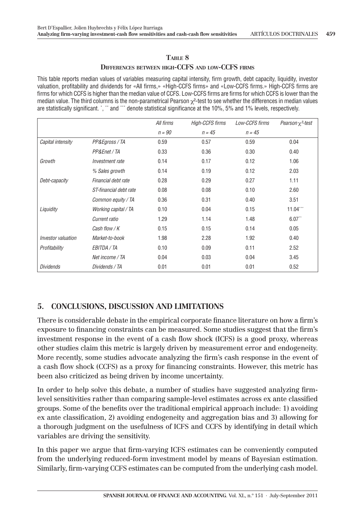## **TABLE 8**

## **DIFFERENCES BETWEEN HIGH-CCFS AND LOW-CCFS FIRMS**

This table reports median values of variables measuring capital intensity, firm growth, debt capacity, liquidity, investor valuation, profitability and dividends for «All firms,» «High-CCFS firms» and «Low-CCFS firms.» High-CCFS firms are firms for which CCFS is higher than the median value of CCFS. Low-CCFS firms are firms for which CCFS is lower than the median value. The third columns is the non-parametrical Pearson  $\chi^2$ -test to see whether the differences in median values are statistically significant. \*, \*\* and \*\*\* denote statistical significance at the 10%, 5% and 1% levels, respectively.

|                    |                        | All firms | <b>High-CCFS firms</b> | Low-CCFS firms | Pearson $\chi^2$ -test |
|--------------------|------------------------|-----------|------------------------|----------------|------------------------|
|                    |                        | $n = 90$  | $n = 45$               | $n = 45$       |                        |
| Capital intensity  | PP&Egross / TA         | 0.59      | 0.57                   | 0.59           | 0.04                   |
|                    | PP&Enet / TA           | 0.33      | 0.36                   | 0.30           | 0.40                   |
| Growth             | Investment rate        | 0.14      | 0.17                   | 0.12           | 1.06                   |
|                    | % Sales growth         | 0.14      | 0.19                   | 0.12           | 2.03                   |
| Debt-capacity      | Financial debt rate    | 0.28      | 0.29                   | 0.27           | 1.11                   |
|                    | ST-financial debt rate | 0.08      | 0.08                   | 0.10           | 2.60                   |
|                    | Common equity / TA     | 0.36      | 0.31                   | 0.40           | 3.51                   |
| Liquidity          | Working capital / TA   | 0.10      | 0.04                   | 0.15           | 11.04                  |
|                    | Current ratio          | 1.29      | 1.14                   | 1.48           | $6.07$ <sup>**</sup>   |
|                    | Cash flow / K          | 0.15      | 0.15                   | 0.14           | 0.05                   |
| Investor valuation | Market-to-book         | 1.98      | 2.28                   | 1.92           | 0.40                   |
| Profitability      | EBITDA / TA            | 0.10      | 0.09                   | 0.11           | 2.52                   |
|                    | Net income / TA        | 0.04      | 0.03                   | 0.04           | 3.45                   |
| Dividends          | Dividends / TA         | 0.01      | 0.01                   | 0.01           | 0.52                   |

## **5. CONCLUSIONS, DISCUSSION AND LIMITATIONS**

There is considerable debate in the empirical corporate finance literature on how a firm's exposure to financing constraints can be measured. Some studies suggest that the firm's investment response in the event of a cash flow shock (ICFS) is a good proxy, whereas other studies claim this metric is largely driven by measurement error and endogeneity. More recently, some studies advocate analyzing the firm's cash response in the event of a cash flow shock (CCFS) as a proxy for financing constraints. However, this metric has been also criticized as being driven by income uncertainty.

In order to help solve this debate, a number of studies have suggested analyzing firmlevel sensitivities rather than comparing sample-level estimates across ex ante classified groups. Some of the benefits over the traditional empirical approach include: 1) avoiding ex ante classification, 2) avoiding endogeneity and aggregation bias and 3) allowing for a thorough judgment on the usefulness of ICFS and CCFS by identifying in detail which variables are driving the sensitivity.

In this paper we argue that firm-varying ICFS estimates can be conveniently computed from the underlying reduced-form investment model by means of Bayesian estimation. Similarly, firm-varying CCFS estimates can be computed from the underlying cash model.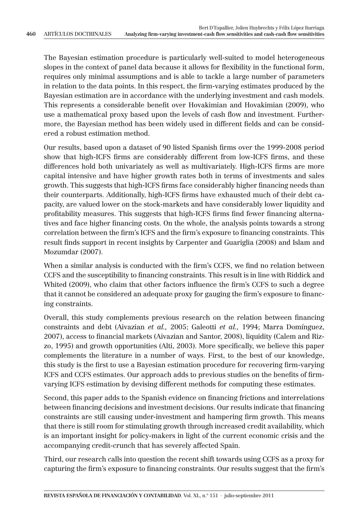The Bayesian estimation procedure is particularly well-suited to model heterogeneous slopes in the context of panel data because it allows for flexibility in the functional form, requires only minimal assumptions and is able to tackle a large number of parameters in relation to the data points. In this respect, the firm-varying estimates produced by the Bayesian estimation are in accordance with the underlying investment and cash models. This represents a considerable benefit over Hovakimian and Hovakimian (2009), who use a mathematical proxy based upon the levels of cash flow and investment. Furthermore, the Bayesian method has been widely used in different fields and can be considered a robust estimation method.

Our results, based upon a dataset of 90 listed Spanish firms over the 1999-2008 period show that high-ICFS firms are considerably different from low-ICFS firms, and these differences hold both univariately as well as multivariately. High-ICFS firms are more capital intensive and have higher growth rates both in terms of investments and sales growth. This suggests that high-ICFS firms face considerably higher financing needs than their counterparts. Additionally, high-ICFS firms have exhausted much of their debt capacity, are valued lower on the stock-markets and have considerably lower liquidity and profitability measures. This suggests that high-ICFS firms find fewer financing alternatives and face higher financing costs. On the whole, the analysis points towards a strong correlation between the firm's ICFS and the firm's exposure to financing constraints. This result finds support in recent insights by Carpenter and Guariglia (2008) and Islam and Mozumdar (2007).

When a similar analysis is conducted with the firm's CCFS, we find no relation between CCFS and the susceptibility to financing constraints. This result is in line with Riddick and Whited (2009), who claim that other factors influence the firm's CCFS to such a degree that it cannot be considered an adequate proxy for gauging the firm's exposure to financing constraints.

Overall, this study complements previous research on the relation between financing constraints and debt (Aivazian *et al.,* 2005; Galeotti *et al.,* 1994; Marra Domínguez, 2007), access to financial markets (Aivazian and Santor, 2008), liquidity (Calem and Rizzo, 1995) and growth opportunities (Alti, 2003). More specifically, we believe this paper complements the literature in a number of ways. First, to the best of our knowledge, this study is the first to use a Bayesian estimation procedure for recovering firm-varying ICFS and CCFS estimates. Our approach adds to previous studies on the benefits of firmvarying ICFS estimation by devising different methods for computing these estimates.

Second, this paper adds to the Spanish evidence on financing frictions and interrelations between financing decisions and investment decisions. Our results indicate that financing constraints are still causing under-investment and hampering firm growth. This means that there is still room for stimulating growth through increased credit availability, which is an important insight for policy-makers in light of the current economic crisis and the accompanying credit-crunch that has severely affected Spain.

Third, our research calls into question the recent shift towards using CCFS as a proxy for capturing the firm's exposure to financing constraints. Our results suggest that the firm's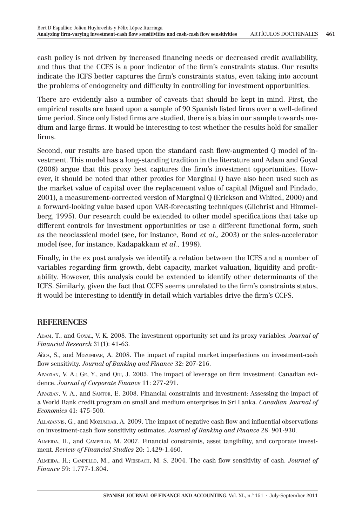cash policy is not driven by increased financing needs or decreased credit availability, and thus that the CCFS is a poor indicator of the firm's constraints status. Our results indicate the ICFS better captures the firm's constraints status, even taking into account the problems of endogeneity and difficulty in controlling for investment opportunities.

There are evidently also a number of caveats that should be kept in mind. First, the empirical results are based upon a sample of 90 Spanish listed firms over a well-defined time period. Since only listed firms are studied, there is a bias in our sample towards medium and large firms. It would be interesting to test whether the results hold for smaller firms.

Second, our results are based upon the standard cash flow-augmented Q model of investment. This model has a long-standing tradition in the literature and Adam and Goyal (2008) argue that this proxy best captures the firm's investment opportunities. However, it should be noted that other proxies for Marginal Q have also been used such as the market value of capital over the replacement value of capital (Miguel and Pindado, 2001), a measurement-corrected version of Marginal Q (Erickson and Whited, 2000) and a forward-looking value based upon VAR-forecasting techniques (Gilchrist and Himmelberg, 1995). Our research could be extended to other model specifications that take up different controls for investment opportunities or use a different functional form, such as the neoclassical model (see, for instance, Bond *et al.,* 2003) or the sales-accelerator model (see, for instance, Kadapakkam *et al.,* 1998).

Finally, in the ex post analysis we identify a relation between the ICFS and a number of variables regarding firm growth, debt capacity, market valuation, liquidity and profitability. However, this analysis could be extended to identify other determinants of the ICFS. Similarly, given the fact that CCFS seems unrelated to the firm's constraints status, it would be interesting to identify in detail which variables drive the firm's CCFS.

## **REFERENCES**

ADAM, T., and GOYAL, V. K. 2008. The investment opportunity set and its proxy variables. *Journal of Financial Research* 31(1): 41-63.

AĞCA, S., and MOZUMDAR, A. 2008. The impact of capital market imperfections on investment-cash flow sensitivity. *Journal of Banking and Finance* 32: 207-216.

AIVAZIAN, V. A.; GE, Y., and QIU, J. 2005. The impact of leverage on firm investment: Canadian evidence. *Journal of Corporate Finance* 11: 277-291.

AIVAZIAN, V. A., and SANTOR, E. 2008. Financial constraints and investment: Assessing the impact of a World Bank credit program on small and medium enterprises in Sri Lanka. *Canadian Journal of Economics* 41: 475-500.

ALLAYANNIS, G., and MOZUMDAR, A. 2009. The impact of negative cash flow and influential observations on investment-cash flow sensitivity estimates. *Journal of Banking and Finance* 28: 901-930.

ALMEIDA, H., and CAMPELLO, M. 2007. Financial constraints, asset tangibility, and corporate investment. *Review of Financial Studies* 20: 1.429-1.460.

ALMEIDA, H.; CAMPELLO, M., and WEISBACH, M. S. 2004. The cash flow sensitivity of cash. *Journal of Finance* 59: 1.777-1.804.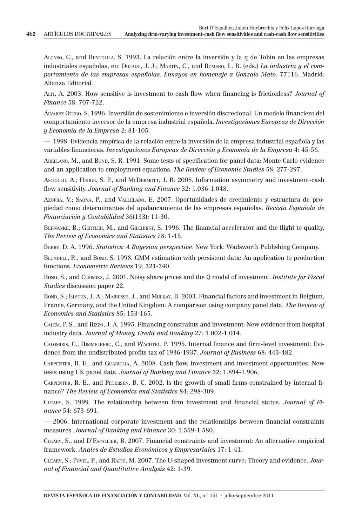ALONSO, C., and BENTOLILA, S. 1993. La relación entre la inversión y la q de Tobin en las empresas industriales españolas, en: DOLADO, J. J.; MARTÍN, C., and ROMERO, L. R. (eds.) *La industria y el comportamiento de las empresas españolas. Ensayos en homenaje a Gonzalo Mato*. 77116. Madrid: Alianza Editorial.

ALTI, A. 2003. How sensitive is investment to cash flow when financing is frictionless? *Journal of Finance* 58: 707-722.

ÁLVAREZ OTERO. S. 1996. Inversión de sostenimiento e inversión discrecional: Un modelo financiero del comportamiento inversor de la empresa industrial española. *Investigaciones Europeas de Dirección y Economía de la Empresa* 2: 81-105.

— 1998. Evidencia empírica de la relación entre la inversión de la empresa industrial española y las variables financieras. *Investigaciones Europeas de Dirección y Economía de la Empresa* 4: 45-56.

ARELLANO, M., and BOND, S. R. 1991. Some tests of specification for panel data: Monte Carlo evidence and an application to employment equations. *The Review of Economic Studies* 58: 277-297.

ASCIOGLU, A.; HEDGE, S. P., and MCDERMOTT, J. B. 2008. Information asymmetry and investment-cash flow sensitivity. *Journal of Banking and Finance* 32: 1.036-1.048.

AZOFRA, V.; SAONA, P., and VALLELADO, E. 2007. Oportunidades de crecimiento y estructura de propiedad como determinantes del apalancamiento de las empresas españolas. *Revista Española de Financiación y Contabilidad* 36(133): 11-30.

BERNANKE, B.; GERTLER, M., and GILCHRIST, S. 1996. The financial accelerator and the flight to quality, *The Review of Economics and Statistics* 78: 1-15.

BERRY, D. A. 1996. *Statistics: A Bayesian perspective*. New York: Wadsworth Publishing Company.

BLUNDELL, R., and BOND, S. 1998. GMM estimation with persistent data: An application to production functions. *Econometric Reviews* 19: 321-340.

BOND, S., and CUMMINS, J. 2001. Noisy share prices and the Q model of investment. *Institute for Fiscal Studies* discussion paper 22.

BOND, S.; ELSTON, J. A.; MAIRESSE, J., and MULKAY, B. 2003. Financial factors and investment in Belgium, France, Germany, and the United Kingdom: A comparison using company panel data. *The Review of Economics and Statistics* 85: 153-165.

CALEM, P. S., and RIZZO, J. A. 1995. Financing constraints and investment: New evidence from hospital industry data. *Journal of Money, Credit and Banking* 27: 1.002-1.014.

CALOMIRIS, C.; HIMMELBERG, C., and WACHTEL, P. 1995. Internal finance and firm-level investment: Evidence from the undistributed profits tax of 1936-1937. *Journal of Business* 68: 443-482.

CARPENTER, R. E., and GUARIGLIA, A. 2008. Cash flow, investment and investment opportunities: New tests using UK panel data. *Journal of Banking and Finance* 32: 1.894-1.906.

CARPENTER, R. E., and PETERSEN, B. C. 2002. Is the growth of small firms constrained by internal finance? *The Review of Economics and Statistics* 84: 298-309.

CLEARY, S. 1999. The relationship between firm investment and financial status. *Journal of Finance* 54: 673-691.

— 2006. International corporate investment and the relationships between financial constraints measures. *Journal of Banking and Finance* 30: 1.559-1.580.

CLEARY, S., and D'ESPALLIER, B. 2007. Financial constraints and investment: An alternative empirical framework. *Anales de Estudios Económicos y Empresariales* 17: 1-41.

CLEARY, S.; POVEL, P., and RAITH, M. 2007. The U-shaped investment curve: Theory and evidence. *Journal of Financial and Quantitative Analysis* 42: 1-39.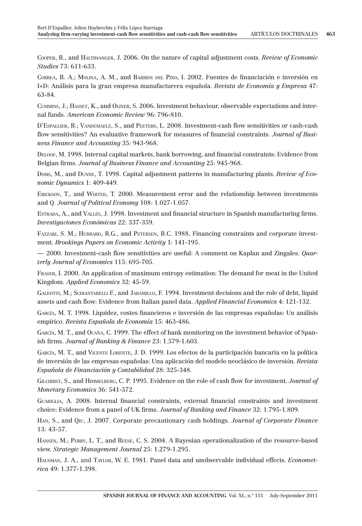COOPER, R., and HALTIWANGER, J. 2006. On the nature of capital adjustment costs. *Review of Economic Studies* 73: 611-633.

CORREA, R. A.; MOLINA, A. M., and BARRIOS DEL PINO, I. 2002. Fuentes de financiación e inversión en I+D: Análisis para la gran empresa manufacturera española. *Revista de Economía y Empresa* 47: 63-84.

CUMMINS, J.; HASSET, K., and OLINER, S. 2006. Investment behaviour, observable expectations and internal funds. *American Economic Review* 96: 796-810.

D'ESPALLIER, B.; VANDEMAELE, S., and PEETERS, L. 2008. Investment-cash flow sensitivities or cash-cash flow sensitivities? An evaluative framework for measures of financial constraints. *Journal of Business Finance and Accounting* 35: 943-968.

DELOOF, M. 1998. Internal capital markets, bank borrowing, and financial constraints: Evidence from Belgian firms. *Journal of Business Finance and Accounting 25: 945-968.* 

DOMS, M., and DUNNE, T. 1998. Capital adjustment patterns in manufacturing plants. *Review of Economic Dynamics* 1: 409-449.

ERICKSON, T., and WHITED, T. 2000. Measurement error and the relationship between investments and Q. *Journal of Political Economy* 108: 1.027-1.057.

ESTRADA, A., and VALLÉS, J. 1998. Investment and financial structure in Spanish manufacturing firms. *Investigaciones Económicas* 22: 337-359.

FAZZARI, S. M.; HUBBARD, R.G., and PETERSEN, B.C. 1988, Financing constraints and corporate investment. *Brookings Papers on Economic Activity* 1: 141-195.

 $-$  2000. Investment-cash flow sensitivities are useful: A comment on Kaplan and Zingales. *Quarterly Journal of Economics* 115: 695-705.

FRASER, I. 2000. An application of maximum entropy estimation: The demand for meat in the United Kingdom. *Applied Economics* 32: 45-59.

GALEOTTI, M.; SCHIANTARELLI F., and JARAMILLO, F. 1994. Investment decisions and the role of debt, liquid assets and cash flow: Evidence from Italian panel data. *Applied Financial Economics* 4: 121-132.

GARCÍA, M. T. 1998. Liquidez, costes financieros e inversión de las empresas españolas: Un análisis empírico. *Revista Española de Economía* 15: 463-486.

GARCÍA, M. T., and OCAÑA, C. 1999. The effect of bank monitoring on the investment behavior of Spanish firms. *Journal of Banking & Finance* 23: 1.579-1.603.

GARCÍA, M. T., and VICENTE LORENTE, J. D. 1999. Los efectos de la participación bancaria en la política de inversión de las empresas españolas: Una aplicación del modelo neoclásico de inversión. *Revista Española de Financiación y Contabilidad* 28: 325-348.

GILCHRIST, S., and HIMMELBERG, C. P. 1995. Evidence on the role of cash flow for investment. *Journal of Monetary Economics* 36: 541-572.

GUARIGLIA, A. 2008. Internal financial constraints, external financial constraints and investment choice: Evidence from a panel of UK firms. *Journal of Banking and Finance* 32: 1.795-1.809.

HAN, S., and QIU, J. 2007. Corporate precautionary cash holdings. *Journal of Corporate Finance* 13: 43-57.

HANSEN, M.; PERRY, L. T., and REESE, C. S. 2004. A Bayesian operationalization of the resource-based view. *Strategic Management Journal* 25: 1.279-1.295.

HAUSMAN, J. A., and TAYLOR, W. E. 1981. Panel data and unobservable individual effects. *Econometrica* 49: 1.377-1.398.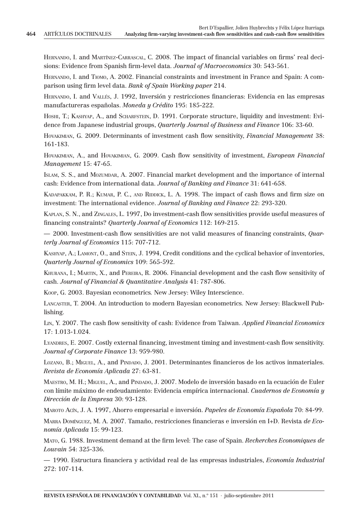HERNANDO, I. and MARTÍNEZ-CARRASCAL, C. 2008. The impact of financial variables on firms' real decisions: Evidence from Spanish firm-level data. *Journal of Macroeconomics* 30: 543-561.

HERNANDO, I. and TIOMO, A. 2002. Financial constraints and investment in France and Spain: A comparison using firm level data. *Bank of Spain Working paper* 214.

HERNANDO, I. and VALLÉS, J. 1992, Inversión y restricciones financieras: Evidencia en las empresas manufactureras españolas. *Moneda y Crédito* 195: 185-222.

HOSHI, T.; KASHYAP, A., and SCHARFSTEIN, D. 1991. Corporate structure, liquidity and investment: Evidence from Japanese industrial groups, *Quarterly Journal of Business and Finance* 106: 33-60.

HOVAKIMIAN, G. 2009. Determinants of investment cash flow sensitivity, *Financial Management* 38: 161-183.

HOVAKIMIAN, A., and HOVAKIMIAN, G. 2009. Cash flow sensitivity of investment, *European Financial Management* 15: 47-65.

ISLAM, S. S., and MOZUMDAR, A. 2007. Financial market development and the importance of internal cash: Evidence from international data. *Journal of Banking and Finance* 31: 641-658.

KADAPAKKAM, P. R.; KUMAR, P. C., AND RIDDICK, L. A. 1998. The impact of cash flows and firm size on investment: The international evidence. *Journal of Banking and Finance* 22: 293-320.

KAPLAN, S. N., and ZINGALES, L. 1997, Do investment-cash flow sensitivities provide useful measures of financing constraints? *Quarterly Journal of Economics* 112: 169-215.

 $-$  2000. Investment-cash flow sensitivities are not valid measures of financing constraints, *Quarterly Journal of Economics* 115: 707-712.

KASHYAP, A.; LAMONT, O., and STEIN, J. 1994, Credit conditions and the cyclical behavior of inventories, *Quarterly Journal of Economics* 109: 565-592.

KHURANA, I.; MARTIN, X., and PEREIRA, R. 2006. Financial development and the cash flow sensitivity of cash. *Journal of Financial & Quantitative Analysis* 41: 787-806.

KOOP, G. 2003. Bayesian econometrics*.* New Jersey: Wiley Interscience.

LANCASTER, T. 2004. An introduction to modern Bayesian econometrics*.* New Jersey: Blackwell Publishing.

LIN, Y. 2007. The cash flow sensitivity of cash: Evidence from Taiwan. *Applied Financial Economics* 17: 1.013-1.024.

LYANDRES, E. 2007. Costly external financing, investment timing and investment-cash flow sensitivity. *Journal of Corporate Finance* 13: 959-980.

LOZANO, B.; MIGUEL, A., and PINDADO, J. 2001. Determinantes financieros de los activos inmateriales. *Revista de Economía Aplicada* 27: 63-81.

MAESTRO, M. H.; MIGUEL, A., and PINDADO, J. 2007. Modelo de inversión basado en la ecuación de Euler con límite máximo de endeudamiento: Evidencia empírica internacional. *Cuadernos de Economía y Dirección de la Empresa* 30: 93-128.

MAROTO ACÍN, J. A. 1997, Ahorro empresarial e inversión. *Papeles de Economía Española* 70: 84-99.

MARRA DOMÍNGUEZ, M. A. 2007. Tamaño, restricciones financieras e inversión en I+D. Revista de Eco*nomía Aplicada* 15: 99-123.

MATO, G. 1988. Investment demand at the firm level: The case of Spain. *Recherches Economiques de Louvain* 54: 325-336.

— 1990. Estructura fi nanciera y actividad real de las empresas industriales, *Economía Industrial* 272: 107-114.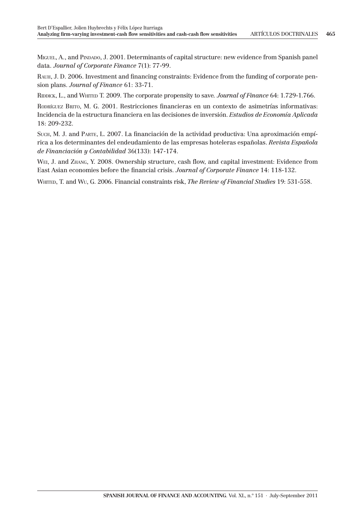MIGUEL, A., and PINDADO, J. 2001. Determinants of capital structure: new evidence from Spanish panel data. *Journal of Corporate Finance* 7(1): 77-99.

RAUH, J. D. 2006. Investment and financing constraints: Evidence from the funding of corporate pension plans. *Journal of Finance* 61: 33-71.

RIDDICK, L., and WHITED T. 2009. The corporate propensity to save*. Journal of Finance* 64: 1.729-1.766.

RODRÍGUEZ BRITO, M. G. 2001. Restricciones financieras en un contexto de asimetrías informativas: Incidencia de la estructura financiera en las decisiones de inversión. *Estudios de Economía Aplicada* 18: 209-232.

SUCH, M. J. and PARTE, L. 2007. La financiación de la actividad productiva: Una aproximación empírica a los determinantes del endeudamiento de las empresas hoteleras españolas. *Revista Española de Financiación y Contabilidad* 36(133): 147-174.

WEI, J. and ZHANG, Y. 2008. Ownership structure, cash flow, and capital investment: Evidence from East Asian economies before the financial crisis. *Journal of Corporate Finance* 14: 118-132.

WHITED, T. and WU, G. 2006. Financial constraints risk, *The Review of Financial Studies* 19: 531-558.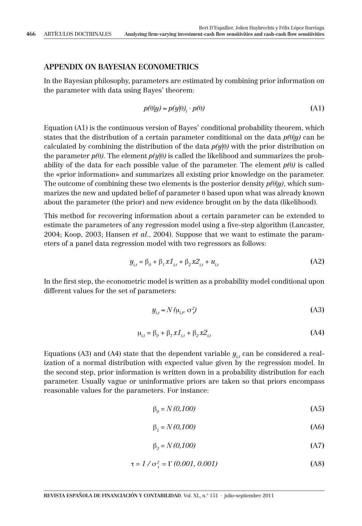## **APPENDIX ON BAYESIAN ECONOMETRICS**

In the Bayesian philosophy, parameters are estimated by combining prior information on the parameter with data using Bayes' theorem:

$$
p(\theta|y) \approx p(y|\theta) \cdot p(\theta) \tag{A1}
$$

Equation (A1) is the continuous version of Bayes' conditional probability theorem, which states that the distribution of a certain parameter conditional on the data  $p(\theta|y)$  can be calculated by combining the distribution of the data  $p(y|\theta)$  with the prior distribution on the parameter  $p(\theta)$ . The element  $p(\theta|\theta)$  is called the likelihood and summarizes the probability of the data for each possible value of the parameter. The element  $p(\theta)$  is called the «prior information» and summarizes all existing prior knowledge on the parameter. The outcome of combining these two elements is the posterior density  $p(\theta | y)$ , which summarizes the new and updated belief of parameter  $\theta$  based upon what was already known about the parameter (the prior) and new evidence brought on by the data (likelihood).

This method for recovering information about a certain parameter can be extended to estimate the parameters of any regression model using a five-step algorithm (Lancaster, 2004; Koop, 2003; Hansen *et al*., 2004). Suppose that we want to estimate the parameters of a panel data regression model with two regressors as follows:

$$
y_{i,t} = \beta_0 + \beta_1 x I_{i,t} + \beta_2 x I_{i,t} + u_{i,t}
$$
 (A2)

In the first step, the econometric model is written as a probability model conditional upon different values for the set of parameters:

$$
y_{i,t} \approx N(\mu_{i,t}, \sigma_i^2) \tag{A3}
$$

$$
\mu_{i,t} = \beta_0 + \beta_1 x I_{i,t} + \beta_2 x I_{i,t}
$$
\n(A4)

Equations (A3) and (A4) state that the dependent variable  $y_{i,t}$  can be considered a realization of a normal distribution with expected value given by the regression model. In the second step, prior information is written down in a probability distribution for each parameter. Usually vague or uninformative priors are taken so that priors encompass reasonable values for the parameters. For instance:

$$
\beta_0 = N(0, 100) \tag{A5}
$$

$$
\beta_1 = N(0,100) \tag{A6}
$$

$$
\beta_3 = N(0,100) \tag{A7}
$$

$$
\tau = 1 / \sigma_t^2 = \Gamma (0.001, 0.001)
$$
 (A8)